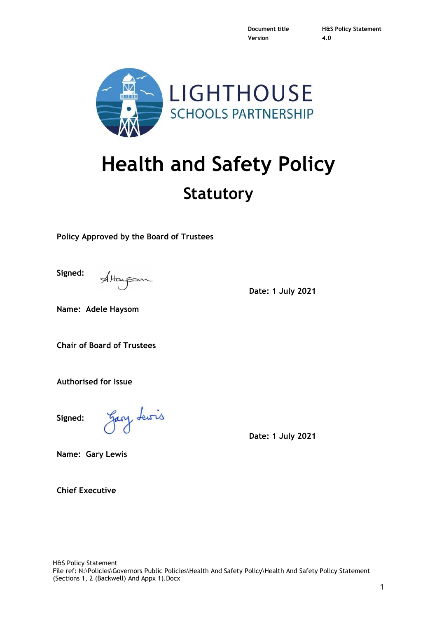**Version 4.0**

**Document title H&S Policy Statement**



# **Health and Safety Policy**

## **Statutory**

**Policy Approved by the Board of Trustees**

**Signed:**

AHarpon

**Date: 1 July 2021**

**Name: Adele Haysom**

**Chair of Board of Trustees**

**Authorised for Issue**

**Signed:**

Gary Lewis

**Date: 1 July 2021**

**Name: Gary Lewis**

**Chief Executive**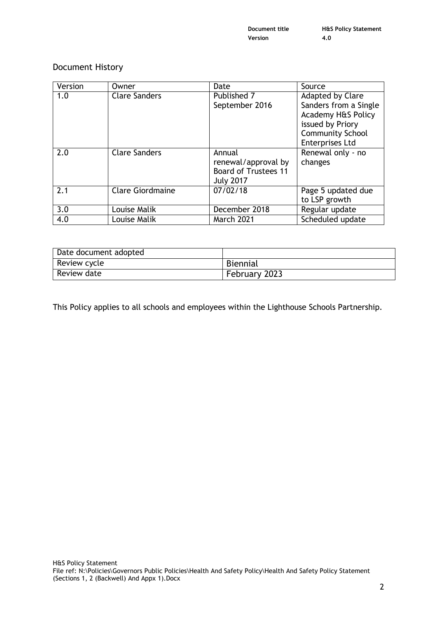**Document title H&S Policy Statement Version 4.0**

#### Document History

| Version | Owner                   | Date                        | Source                  |
|---------|-------------------------|-----------------------------|-------------------------|
| 1.0     | <b>Clare Sanders</b>    | Published 7                 | Adapted by Clare        |
|         |                         | September 2016              | Sanders from a Single   |
|         |                         |                             | Academy H&S Policy      |
|         |                         |                             | issued by Priory        |
|         |                         |                             | <b>Community School</b> |
|         |                         |                             | <b>Enterprises Ltd</b>  |
| 2.0     | <b>Clare Sanders</b>    | Annual                      | Renewal only - no       |
|         |                         | renewal/approval by         | changes                 |
|         |                         | <b>Board of Trustees 11</b> |                         |
|         |                         | <b>July 2017</b>            |                         |
| 2.1     | <b>Clare Giordmaine</b> | 07/02/18                    | Page 5 updated due      |
|         |                         |                             | to LSP growth           |
| 3.0     | Louise Malik            | December 2018               | Regular update          |
| 4.0     | Louise Malik            | <b>March 2021</b>           | Scheduled update        |

| Date document adopted |               |
|-----------------------|---------------|
| Review cycle          | Biennial      |
| Review date           | February 2023 |

This Policy applies to all schools and employees within the Lighthouse Schools Partnership.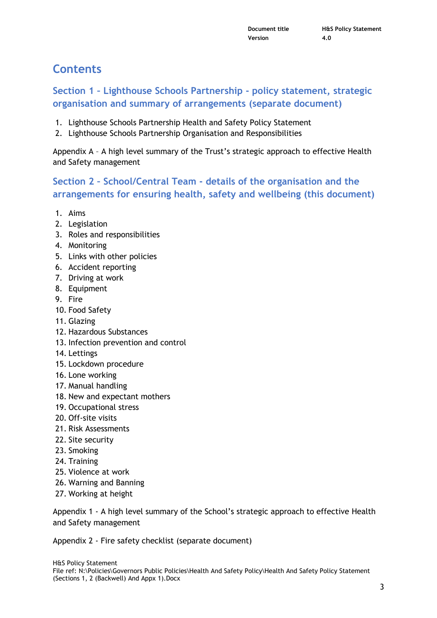## **Contents**

## **Section 1 – Lighthouse Schools Partnership - policy statement, strategic organisation and summary of arrangements (separate document)**

- 1. Lighthouse Schools Partnership Health and Safety Policy Statement
- 2. Lighthouse Schools Partnership Organisation and Responsibilities

Appendix A – A high level summary of the Trust's strategic approach to effective Health and Safety management

## **Section 2 – School/Central Team - details of the organisation and the arrangements for ensuring health, safety and wellbeing (this document)**

- 1. Aims
- 2. Legislation
- 3. Roles and responsibilities
- 4. Monitoring
- 5. Links with other policies
- 6. Accident reporting
- 7. Driving at work
- 8. Equipment
- 9. Fire
- 10. Food Safety
- 11. Glazing
- 12. Hazardous Substances
- 13. Infection prevention and control
- 14. Lettings
- 15. Lockdown procedure
- 16. Lone working
- 17. Manual handling
- 18. New and expectant mothers
- 19. Occupational stress
- 20. Off-site visits
- 21. Risk Assessments
- 22. Site security
- 23. Smoking
- 24. Training
- 25. Violence at work
- 26. Warning and Banning
- 27. Working at height

Appendix 1 - A high level summary of the School's strategic approach to effective Health and Safety management

Appendix 2 - Fire safety checklist (separate document)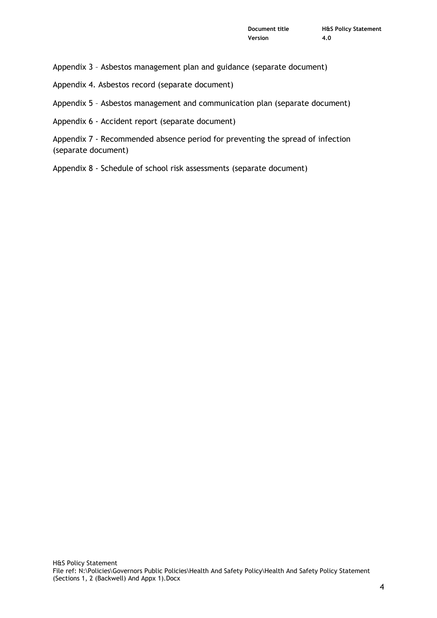Appendix 3 – Asbestos management plan and guidance (separate document)

Appendix 4. Asbestos record (separate document)

Appendix 5 – Asbestos management and communication plan (separate document)

Appendix 6 - Accident report (separate document)

Appendix 7 - Recommended absence period for preventing the spread of infection (separate document)

Appendix 8 - Schedule of school risk assessments (separate document)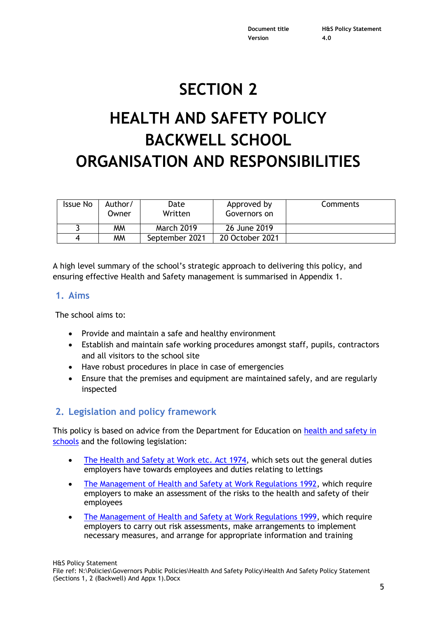**Version 4.0**

**Document title H&S Policy Statement**

## **SECTION 2**

# **HEALTH AND SAFETY POLICY BACKWELL SCHOOL ORGANISATION AND RESPONSIBILITIES**

| <b>Issue No</b> | Author/<br>Owner | Date<br>Written   | Approved by<br>Governors on | <b>Comments</b> |
|-----------------|------------------|-------------------|-----------------------------|-----------------|
|                 | <b>MM</b>        | <b>March 2019</b> | 26 June 2019                |                 |
|                 | <b>MM</b>        | September 2021    | 20 October 2021             |                 |

A high level summary of the school's strategic approach to delivering this policy, and ensuring effective Health and Safety management is summarised in Appendix 1.

#### **1. Aims**

The school aims to:

- Provide and maintain a safe and healthy environment
- Establish and maintain safe working procedures amongst staff, pupils, contractors and all visitors to the school site
- Have robust procedures in place in case of emergencies
- Ensure that the premises and equipment are maintained safely, and are regularly inspected

#### **2. Legislation and policy framework**

This policy is based on advice from the Department for Education on [health and safety in](https://www.gov.uk/government/publications/health-and-safety-advice-for-schools)  [schools](https://www.gov.uk/government/publications/health-and-safety-advice-for-schools) and the following legislation:

- [The Health and Safety at Work etc. Act 1974,](http://www.legislation.gov.uk/ukpga/1974/37) which sets out the general duties employers have towards employees and duties relating to lettings
- [The Management of Health and Safety at Work Regulations 1992,](http://www.legislation.gov.uk/uksi/1992/2051/regulation/3/made) which require employers to make an assessment of the risks to the health and safety of their employees
- [The Management of Health and Safety at Work Regulations 1999,](http://www.legislation.gov.uk/uksi/1999/3242/contents/made) which require employers to carry out risk assessments, make arrangements to implement necessary measures, and arrange for appropriate information and training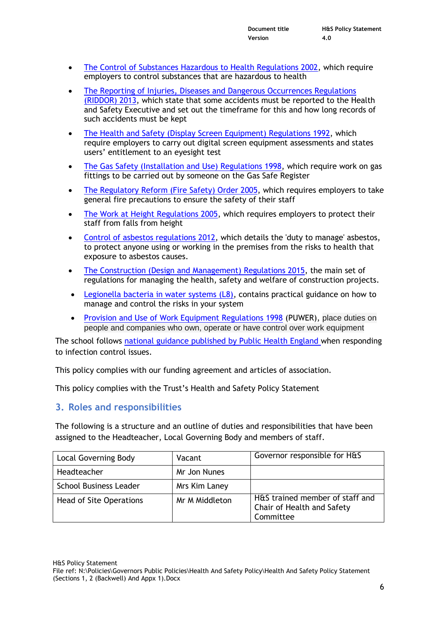- [The Control of Substances Hazardous to Health Regulations 2002,](http://www.legislation.gov.uk/uksi/2002/2677/contents/made) which require employers to control substances that are hazardous to health
- [The Reporting of Injuries, Diseases and Dangerous Occurrences Regulations](http://www.legislation.gov.uk/uksi/2013/1471/schedule/1/paragraph/1/made)  [\(RIDDOR\) 2013,](http://www.legislation.gov.uk/uksi/2013/1471/schedule/1/paragraph/1/made) which state that some accidents must be reported to the Health and Safety Executive and set out the timeframe for this and how long records of such accidents must be kept
- [The Health and Safety \(Display Screen Equipment\) Regulations 1992,](http://www.legislation.gov.uk/uksi/1992/2792/contents/made) which require employers to carry out digital screen equipment assessments and states users' entitlement to an eyesight test
- [The Gas Safety \(Installation and Use\) Regulations 1998,](http://www.legislation.gov.uk/uksi/1998/2451/regulation/4/made) which require work on gas fittings to be carried out by someone on the Gas Safe Register
- [The Regulatory Reform \(Fire Safety\) Order 2005,](http://www.legislation.gov.uk/uksi/2005/1541/part/2/made) which requires employers to take general fire precautions to ensure the safety of their staff
- [The Work at Height Regulations 2005,](http://www.legislation.gov.uk/uksi/2005/735/contents/made) which requires employers to protect their staff from falls from height
- [Control of asbestos regulations 2012,](http://www.legislation.gov.uk/uksi/2012/632/contents/made) which details the 'duty to manage' asbestos, to protect anyone using or working in the premises from the risks to health that exposure to asbestos causes.
- [The Construction \(Design and Management\) Regulations 2015,](http://www.legislation.gov.uk/uksi/2015/51/contents/made) the main set of regulations for managing the health, safety and welfare of construction projects.
- [Legionella bacteria in water systems \(L8\),](http://www.hse.gov.uk/pubns/books/l8.htm) contains practical guidance on how to manage and control the risks in your system
- Provision and [Use of Work Equipment Regulations 1998](https://www.hse.gov.uk/work-equipment-machinery/puwer.htm#:~:text=PUWER%20requires%20that%20equipment%20provided,adequate%20information%2C%20instruction%20and%20training) (PUWER), place duties on people and companies who own, operate or have control over work equipment

The school follows [national guidance published by Public Health England](https://www.gov.uk/government/publications/health-protection-in-schools-and-other-childcare-facilities/chapter-9-managing-specific-infectious-diseases) when responding to infection control issues.

This policy complies with our funding agreement and articles of association.

This policy complies with the Trust's Health and Safety Policy Statement

#### **3. Roles and responsibilities**

The following is a structure and an outline of duties and responsibilities that have been assigned to the Headteacher, Local Governing Body and members of staff.

| <b>Local Governing Body</b>   | Vacant         | Governor responsible for H&S                                               |
|-------------------------------|----------------|----------------------------------------------------------------------------|
| Headteacher                   | Mr Jon Nunes   |                                                                            |
| <b>School Business Leader</b> | Mrs Kim Laney  |                                                                            |
| Head of Site Operations       | Mr M Middleton | H&S trained member of staff and<br>Chair of Health and Safety<br>Committee |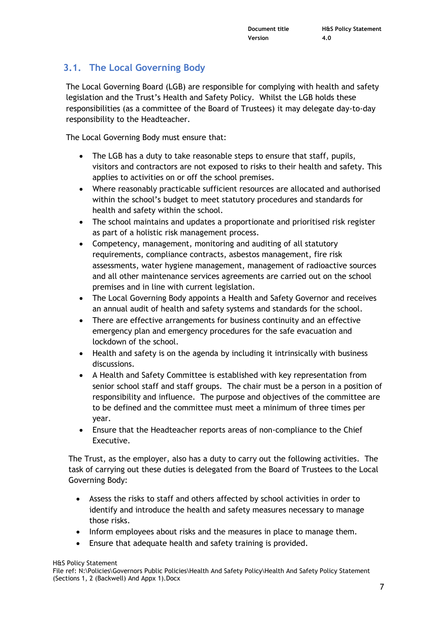## **3.1. The Local Governing Body**

The Local Governing Board (LGB) are responsible for complying with health and safety legislation and the Trust's Health and Safety Policy. Whilst the LGB holds these responsibilities (as a committee of the Board of Trustees) it may delegate day-to-day responsibility to the Headteacher.

The Local Governing Body must ensure that:

- The LGB has a duty to take reasonable steps to ensure that staff, pupils, visitors and contractors are not exposed to risks to their health and safety. This applies to activities on or off the school premises.
- Where reasonably practicable sufficient resources are allocated and authorised within the school's budget to meet statutory procedures and standards for health and safety within the school.
- The school maintains and updates a proportionate and prioritised risk register as part of a holistic risk management process.
- Competency, management, monitoring and auditing of all statutory requirements, compliance contracts, asbestos management, fire risk assessments, water hygiene management, management of radioactive sources and all other maintenance services agreements are carried out on the school premises and in line with current legislation.
- The Local Governing Body appoints a Health and Safety Governor and receives an annual audit of health and safety systems and standards for the school.
- There are effective arrangements for business continuity and an effective emergency plan and emergency procedures for the safe evacuation and lockdown of the school.
- Health and safety is on the agenda by including it intrinsically with business discussions.
- A Health and Safety Committee is established with key representation from senior school staff and staff groups. The chair must be a person in a position of responsibility and influence. The purpose and objectives of the committee are to be defined and the committee must meet a minimum of three times per year.
- Ensure that the Headteacher reports areas of non-compliance to the Chief Executive.

The Trust, as the employer, also has a duty to carry out the following activities. The task of carrying out these duties is delegated from the Board of Trustees to the Local Governing Body:

- Assess the risks to staff and others affected by school activities in order to identify and introduce the health and safety measures necessary to manage those risks.
- Inform employees about risks and the measures in place to manage them.
- Ensure that adequate health and safety training is provided.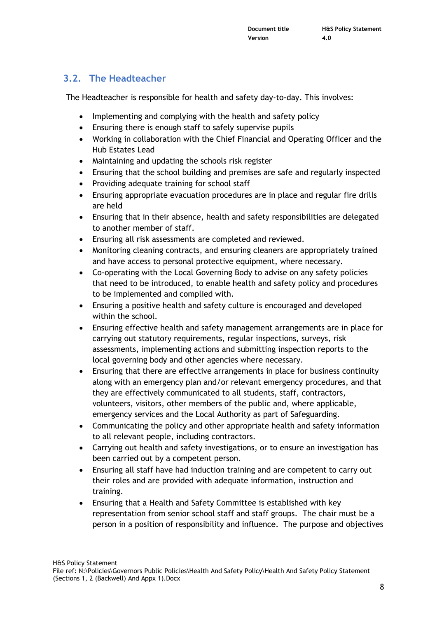## **3.2. The Headteacher**

The Headteacher is responsible for health and safety day-to-day. This involves:

- Implementing and complying with the health and safety policy
- Ensuring there is enough staff to safely supervise pupils
- Working in collaboration with the Chief Financial and Operating Officer and the Hub Estates Lead
- Maintaining and updating the schools risk register
- Ensuring that the school building and premises are safe and regularly inspected
- Providing adequate training for school staff
- Ensuring appropriate evacuation procedures are in place and regular fire drills are held
- Ensuring that in their absence, health and safety responsibilities are delegated to another member of staff.
- Ensuring all risk assessments are completed and reviewed.
- Monitoring cleaning contracts, and ensuring cleaners are appropriately trained and have access to personal protective equipment, where necessary.
- Co-operating with the Local Governing Body to advise on any safety policies that need to be introduced, to enable health and safety policy and procedures to be implemented and complied with.
- Ensuring a positive health and safety culture is encouraged and developed within the school.
- Ensuring effective health and safety management arrangements are in place for carrying out statutory requirements, regular inspections, surveys, risk assessments, implementing actions and submitting inspection reports to the local governing body and other agencies where necessary.
- Ensuring that there are effective arrangements in place for business continuity along with an emergency plan and/or relevant emergency procedures, and that they are effectively communicated to all students, staff, contractors, volunteers, visitors, other members of the public and, where applicable, emergency services and the Local Authority as part of Safeguarding.
- Communicating the policy and other appropriate health and safety information to all relevant people, including contractors.
- Carrying out health and safety investigations, or to ensure an investigation has been carried out by a competent person.
- Ensuring all staff have had induction training and are competent to carry out their roles and are provided with adequate information, instruction and training.
- Ensuring that a Health and Safety Committee is established with key representation from senior school staff and staff groups. The chair must be a person in a position of responsibility and influence. The purpose and objectives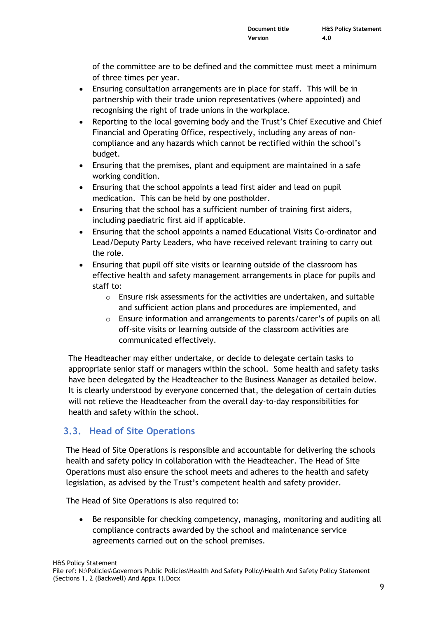of the committee are to be defined and the committee must meet a minimum of three times per year.

- Ensuring consultation arrangements are in place for staff. This will be in partnership with their trade union representatives (where appointed) and recognising the right of trade unions in the workplace.
- Reporting to the local governing body and the Trust's Chief Executive and Chief Financial and Operating Office, respectively, including any areas of noncompliance and any hazards which cannot be rectified within the school's budget.
- Ensuring that the premises, plant and equipment are maintained in a safe working condition.
- Ensuring that the school appoints a lead first aider and lead on pupil medication. This can be held by one postholder.
- Ensuring that the school has a sufficient number of training first aiders, including paediatric first aid if applicable.
- Ensuring that the school appoints a named Educational Visits Co-ordinator and Lead/Deputy Party Leaders, who have received relevant training to carry out the role.
- Ensuring that pupil off site visits or learning outside of the classroom has effective health and safety management arrangements in place for pupils and staff to:
	- $\circ$  Ensure risk assessments for the activities are undertaken, and suitable and sufficient action plans and procedures are implemented, and
	- $\circ$  Ensure information and arrangements to parents/carer's of pupils on all off-site visits or learning outside of the classroom activities are communicated effectively.

The Headteacher may either undertake, or decide to delegate certain tasks to appropriate senior staff or managers within the school. Some health and safety tasks have been delegated by the Headteacher to the Business Manager as detailed below. It is clearly understood by everyone concerned that, the delegation of certain duties will not relieve the Headteacher from the overall day-to-day responsibilities for health and safety within the school.

## **3.3. Head of Site Operations**

The Head of Site Operations is responsible and accountable for delivering the schools health and safety policy in collaboration with the Headteacher. The Head of Site Operations must also ensure the school meets and adheres to the health and safety legislation, as advised by the Trust's competent health and safety provider.

The Head of Site Operations is also required to:

 Be responsible for checking competency, managing, monitoring and auditing all compliance contracts awarded by the school and maintenance service agreements carried out on the school premises.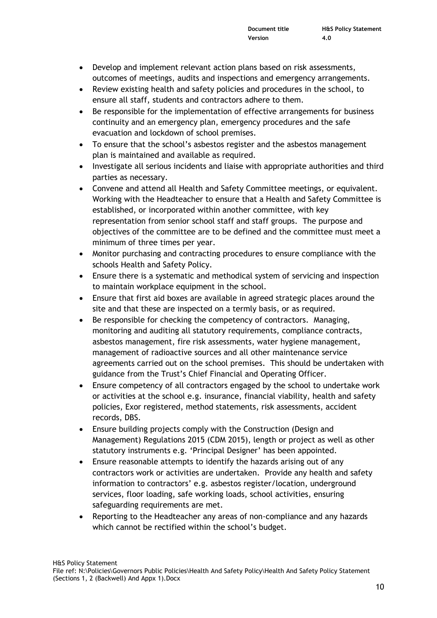- Develop and implement relevant action plans based on risk assessments, outcomes of meetings, audits and inspections and emergency arrangements.
- Review existing health and safety policies and procedures in the school, to ensure all staff, students and contractors adhere to them.
- Be responsible for the implementation of effective arrangements for business continuity and an emergency plan, emergency procedures and the safe evacuation and lockdown of school premises.
- To ensure that the school's asbestos register and the asbestos management plan is maintained and available as required.
- Investigate all serious incidents and liaise with appropriate authorities and third parties as necessary.
- Convene and attend all Health and Safety Committee meetings, or equivalent. Working with the Headteacher to ensure that a Health and Safety Committee is established, or incorporated within another committee, with key representation from senior school staff and staff groups. The purpose and objectives of the committee are to be defined and the committee must meet a minimum of three times per year.
- Monitor purchasing and contracting procedures to ensure compliance with the schools Health and Safety Policy.
- Ensure there is a systematic and methodical system of servicing and inspection to maintain workplace equipment in the school.
- Ensure that first aid boxes are available in agreed strategic places around the site and that these are inspected on a termly basis, or as required.
- Be responsible for checking the competency of contractors. Managing, monitoring and auditing all statutory requirements, compliance contracts, asbestos management, fire risk assessments, water hygiene management, management of radioactive sources and all other maintenance service agreements carried out on the school premises. This should be undertaken with guidance from the Trust's Chief Financial and Operating Officer.
- Ensure competency of all contractors engaged by the school to undertake work or activities at the school e.g. insurance, financial viability, health and safety policies, Exor registered, method statements, risk assessments, accident records, DBS.
- Ensure building projects comply with the Construction (Design and Management) Regulations 2015 (CDM 2015), length or project as well as other statutory instruments e.g. 'Principal Designer' has been appointed.
- Ensure reasonable attempts to identify the hazards arising out of any contractors work or activities are undertaken. Provide any health and safety information to contractors' e.g. asbestos register/location, underground services, floor loading, safe working loads, school activities, ensuring safeguarding requirements are met.
- Reporting to the Headteacher any areas of non-compliance and any hazards which cannot be rectified within the school's budget.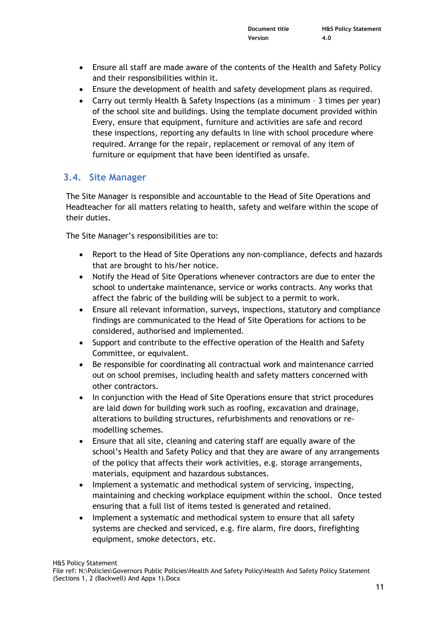- Ensure all staff are made aware of the contents of the Health and Safety Policy and their responsibilities within it.
- Ensure the development of health and safety development plans as required.
- Carry out termly Health & Safety Inspections (as a minimum 3 times per year) of the school site and buildings. Using the template document provided within Every, ensure that equipment, furniture and activities are safe and record these inspections, reporting any defaults in line with school procedure where required. Arrange for the repair, replacement or removal of any item of furniture or equipment that have been identified as unsafe.

## **3.4. Site Manager**

The Site Manager is responsible and accountable to the Head of Site Operations and Headteacher for all matters relating to health, safety and welfare within the scope of their duties.

The Site Manager's responsibilities are to:

- Report to the Head of Site Operations any non-compliance, defects and hazards that are brought to his/her notice.
- Notify the Head of Site Operations whenever contractors are due to enter the school to undertake maintenance, service or works contracts. Any works that affect the fabric of the building will be subject to a permit to work.
- Ensure all relevant information, surveys, inspections, statutory and compliance findings are communicated to the Head of Site Operations for actions to be considered, authorised and implemented.
- Support and contribute to the effective operation of the Health and Safety Committee, or equivalent.
- Be responsible for coordinating all contractual work and maintenance carried out on school premises, including health and safety matters concerned with other contractors.
- In conjunction with the Head of Site Operations ensure that strict procedures are laid down for building work such as roofing, excavation and drainage, alterations to building structures, refurbishments and renovations or remodelling schemes.
- Ensure that all site, cleaning and catering staff are equally aware of the school's Health and Safety Policy and that they are aware of any arrangements of the policy that affects their work activities, e.g. storage arrangements, materials, equipment and hazardous substances.
- Implement a systematic and methodical system of servicing, inspecting, maintaining and checking workplace equipment within the school. Once tested ensuring that a full list of items tested is generated and retained.
- Implement a systematic and methodical system to ensure that all safety systems are checked and serviced, e.g. fire alarm, fire doors, firefighting equipment, smoke detectors, etc.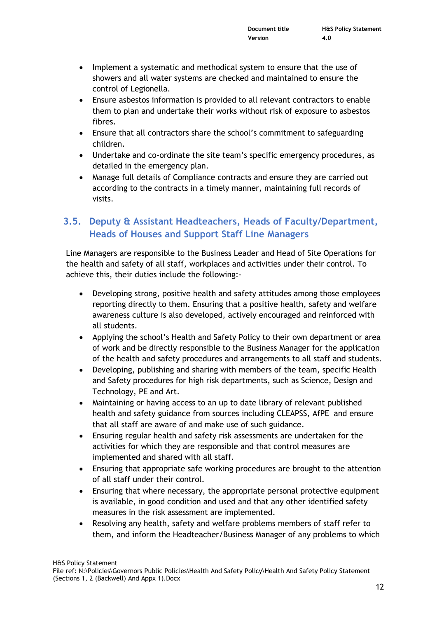- Implement a systematic and methodical system to ensure that the use of showers and all water systems are checked and maintained to ensure the control of Legionella.
- Ensure asbestos information is provided to all relevant contractors to enable them to plan and undertake their works without risk of exposure to asbestos fibres.
- Ensure that all contractors share the school's commitment to safeguarding children.
- Undertake and co-ordinate the site team's specific emergency procedures, as detailed in the emergency plan.
- Manage full details of Compliance contracts and ensure they are carried out according to the contracts in a timely manner, maintaining full records of visits.

## **3.5. Deputy & Assistant Headteachers, Heads of Faculty/Department, Heads of Houses and Support Staff Line Managers**

Line Managers are responsible to the Business Leader and Head of Site Operations for the health and safety of all staff, workplaces and activities under their control. To achieve this, their duties include the following:-

- Developing strong, positive health and safety attitudes among those employees reporting directly to them. Ensuring that a positive health, safety and welfare awareness culture is also developed, actively encouraged and reinforced with all students.
- Applying the school's Health and Safety Policy to their own department or area of work and be directly responsible to the Business Manager for the application of the health and safety procedures and arrangements to all staff and students.
- Developing, publishing and sharing with members of the team, specific Health and Safety procedures for high risk departments, such as Science, Design and Technology, PE and Art.
- Maintaining or having access to an up to date library of relevant published health and safety guidance from sources including CLEAPSS, AfPE and ensure that all staff are aware of and make use of such guidance.
- Ensuring regular health and safety risk assessments are undertaken for the activities for which they are responsible and that control measures are implemented and shared with all staff.
- Ensuring that appropriate safe working procedures are brought to the attention of all staff under their control.
- Ensuring that where necessary, the appropriate personal protective equipment is available, in good condition and used and that any other identified safety measures in the risk assessment are implemented.
- Resolving any health, safety and welfare problems members of staff refer to them, and inform the Headteacher/Business Manager of any problems to which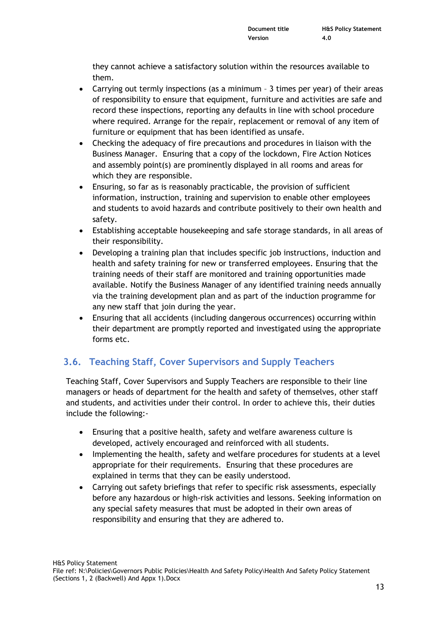they cannot achieve a satisfactory solution within the resources available to them.

- Carrying out termly inspections (as a minimum 3 times per year) of their areas of responsibility to ensure that equipment, furniture and activities are safe and record these inspections, reporting any defaults in line with school procedure where required. Arrange for the repair, replacement or removal of any item of furniture or equipment that has been identified as unsafe.
- Checking the adequacy of fire precautions and procedures in liaison with the Business Manager. Ensuring that a copy of the lockdown, Fire Action Notices and assembly point(s) are prominently displayed in all rooms and areas for which they are responsible.
- Ensuring, so far as is reasonably practicable, the provision of sufficient information, instruction, training and supervision to enable other employees and students to avoid hazards and contribute positively to their own health and safety.
- Establishing acceptable housekeeping and safe storage standards, in all areas of their responsibility.
- Developing a training plan that includes specific job instructions, induction and health and safety training for new or transferred employees. Ensuring that the training needs of their staff are monitored and training opportunities made available. Notify the Business Manager of any identified training needs annually via the training development plan and as part of the induction programme for any new staff that join during the year.
- Ensuring that all accidents (including dangerous occurrences) occurring within their department are promptly reported and investigated using the appropriate forms etc.

## **3.6. Teaching Staff, Cover Supervisors and Supply Teachers**

Teaching Staff, Cover Supervisors and Supply Teachers are responsible to their line managers or heads of department for the health and safety of themselves, other staff and students, and activities under their control. In order to achieve this, their duties include the following:-

- Ensuring that a positive health, safety and welfare awareness culture is developed, actively encouraged and reinforced with all students.
- Implementing the health, safety and welfare procedures for students at a level appropriate for their requirements. Ensuring that these procedures are explained in terms that they can be easily understood.
- Carrying out safety briefings that refer to specific risk assessments, especially before any hazardous or high-risk activities and lessons. Seeking information on any special safety measures that must be adopted in their own areas of responsibility and ensuring that they are adhered to.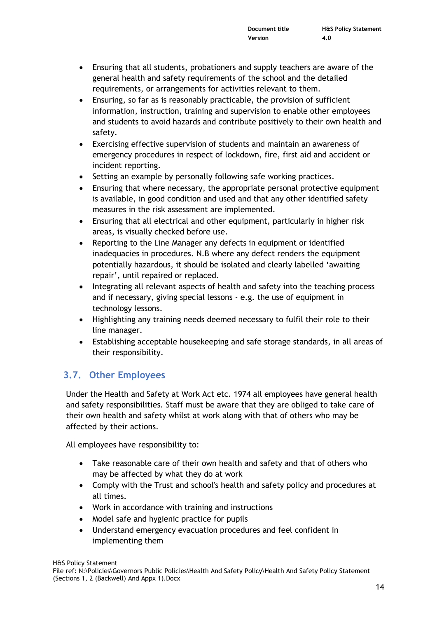- Ensuring that all students, probationers and supply teachers are aware of the general health and safety requirements of the school and the detailed requirements, or arrangements for activities relevant to them.
- Ensuring, so far as is reasonably practicable, the provision of sufficient information, instruction, training and supervision to enable other employees and students to avoid hazards and contribute positively to their own health and safety.
- Exercising effective supervision of students and maintain an awareness of emergency procedures in respect of lockdown, fire, first aid and accident or incident reporting.
- Setting an example by personally following safe working practices.
- Ensuring that where necessary, the appropriate personal protective equipment is available, in good condition and used and that any other identified safety measures in the risk assessment are implemented.
- Ensuring that all electrical and other equipment, particularly in higher risk areas, is visually checked before use.
- Reporting to the Line Manager any defects in equipment or identified inadequacies in procedures. N.B where any defect renders the equipment potentially hazardous, it should be isolated and clearly labelled 'awaiting repair', until repaired or replaced.
- Integrating all relevant aspects of health and safety into the teaching process and if necessary, giving special lessons - e.g. the use of equipment in technology lessons.
- Highlighting any training needs deemed necessary to fulfil their role to their line manager.
- Establishing acceptable housekeeping and safe storage standards, in all areas of their responsibility.

## **3.7. Other Employees**

Under the Health and Safety at Work Act etc. 1974 all employees have general health and safety responsibilities. Staff must be aware that they are obliged to take care of their own health and safety whilst at work along with that of others who may be affected by their actions.

All employees have responsibility to:

- Take reasonable care of their own health and safety and that of others who may be affected by what they do at work
- Comply with the Trust and school's health and safety policy and procedures at all times.
- Work in accordance with training and instructions
- Model safe and hygienic practice for pupils
- Understand emergency evacuation procedures and feel confident in implementing them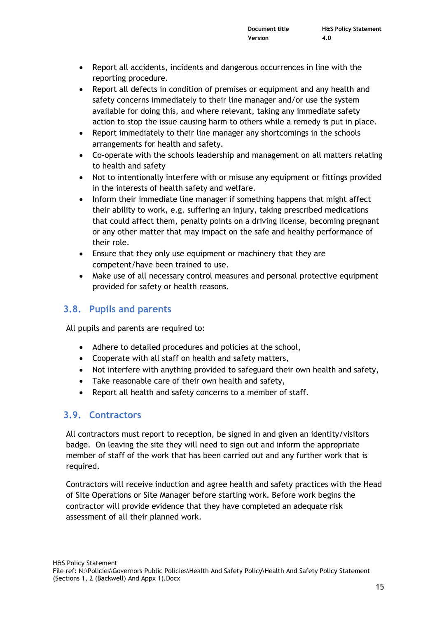- Report all accidents, incidents and dangerous occurrences in line with the reporting procedure.
- Report all defects in condition of premises or equipment and any health and safety concerns immediately to their line manager and/or use the system available for doing this, and where relevant, taking any immediate safety action to stop the issue causing harm to others while a remedy is put in place.
- Report immediately to their line manager any shortcomings in the schools arrangements for health and safety.
- Co-operate with the schools leadership and management on all matters relating to health and safety
- Not to intentionally interfere with or misuse any equipment or fittings provided in the interests of health safety and welfare.
- Inform their immediate line manager if something happens that might affect their ability to work, e.g. suffering an injury, taking prescribed medications that could affect them, penalty points on a driving license, becoming pregnant or any other matter that may impact on the safe and healthy performance of their role.
- Ensure that they only use equipment or machinery that they are competent/have been trained to use.
- Make use of all necessary control measures and personal protective equipment provided for safety or health reasons.

## **3.8. Pupils and parents**

All pupils and parents are required to:

- Adhere to detailed procedures and policies at the school,
- Cooperate with all staff on health and safety matters,
- Not interfere with anything provided to safeguard their own health and safety,
- Take reasonable care of their own health and safety,
- Report all health and safety concerns to a member of staff.

#### **3.9. Contractors**

All contractors must report to reception, be signed in and given an identity/visitors badge. On leaving the site they will need to sign out and inform the appropriate member of staff of the work that has been carried out and any further work that is required.

Contractors will receive induction and agree health and safety practices with the Head of Site Operations or Site Manager before starting work. Before work begins the contractor will provide evidence that they have completed an adequate risk assessment of all their planned work.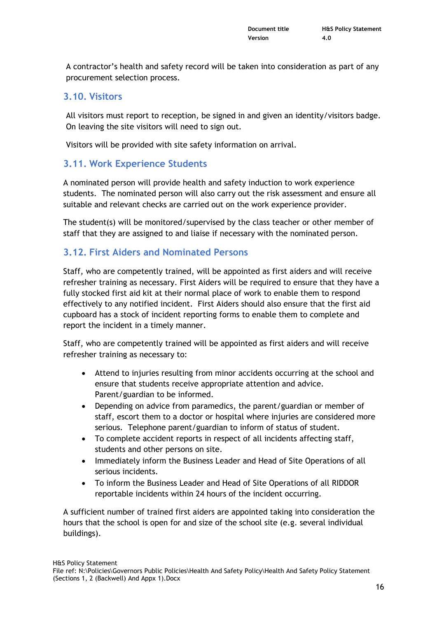A contractor's health and safety record will be taken into consideration as part of any procurement selection process.

#### **3.10. Visitors**

All visitors must report to reception, be signed in and given an identity/visitors badge. On leaving the site visitors will need to sign out.

Visitors will be provided with site safety information on arrival.

#### **3.11. Work Experience Students**

A nominated person will provide health and safety induction to work experience students. The nominated person will also carry out the risk assessment and ensure all suitable and relevant checks are carried out on the work experience provider.

The student(s) will be monitored/supervised by the class teacher or other member of staff that they are assigned to and liaise if necessary with the nominated person.

#### **3.12. First Aiders and Nominated Persons**

Staff, who are competently trained, will be appointed as first aiders and will receive refresher training as necessary. First Aiders will be required to ensure that they have a fully stocked first aid kit at their normal place of work to enable them to respond effectively to any notified incident. First Aiders should also ensure that the first aid cupboard has a stock of incident reporting forms to enable them to complete and report the incident in a timely manner.

Staff, who are competently trained will be appointed as first aiders and will receive refresher training as necessary to:

- Attend to injuries resulting from minor accidents occurring at the school and ensure that students receive appropriate attention and advice. Parent/guardian to be informed.
- Depending on advice from paramedics, the parent/guardian or member of staff, escort them to a doctor or hospital where injuries are considered more serious. Telephone parent/guardian to inform of status of student.
- To complete accident reports in respect of all incidents affecting staff, students and other persons on site.
- Immediately inform the Business Leader and Head of Site Operations of all serious incidents.
- To inform the Business Leader and Head of Site Operations of all RIDDOR reportable incidents within 24 hours of the incident occurring.

A sufficient number of trained first aiders are appointed taking into consideration the hours that the school is open for and size of the school site (e.g. several individual buildings).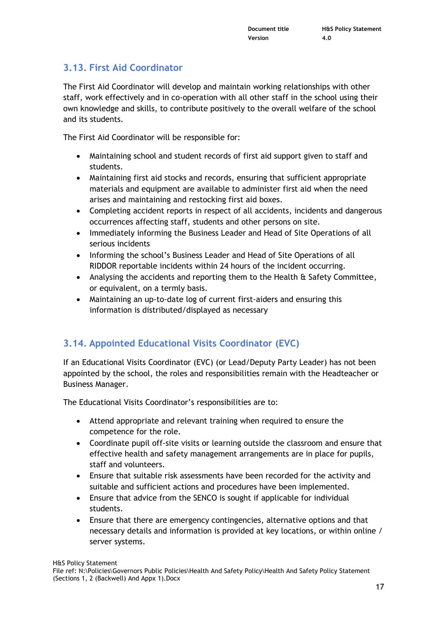## **3.13. First Aid Coordinator**

The First Aid Coordinator will develop and maintain working relationships with other staff, work effectively and in co-operation with all other staff in the school using their own knowledge and skills, to contribute positively to the overall welfare of the school and its students.

The First Aid Coordinator will be responsible for:

- Maintaining school and student records of first aid support given to staff and students.
- Maintaining first aid stocks and records, ensuring that sufficient appropriate materials and equipment are available to administer first aid when the need arises and maintaining and restocking first aid boxes.
- Completing accident reports in respect of all accidents, incidents and dangerous occurrences affecting staff, students and other persons on site.
- Immediately informing the Business Leader and Head of Site Operations of all serious incidents
- Informing the school's Business Leader and Head of Site Operations of all RIDDOR reportable incidents within 24 hours of the incident occurring.
- Analysing the accidents and reporting them to the Health & Safety Committee, or equivalent, on a termly basis.
- Maintaining an up-to-date log of current first-aiders and ensuring this information is distributed/displayed as necessary

## **3.14. Appointed Educational Visits Coordinator (EVC)**

If an Educational Visits Coordinator (EVC) (or Lead/Deputy Party Leader) has not been appointed by the school, the roles and responsibilities remain with the Headteacher or Business Manager.

The Educational Visits Coordinator's responsibilities are to:

- Attend appropriate and relevant training when required to ensure the competence for the role.
- Coordinate pupil off-site visits or learning outside the classroom and ensure that effective health and safety management arrangements are in place for pupils, staff and volunteers.
- Ensure that suitable risk assessments have been recorded for the activity and suitable and sufficient actions and procedures have been implemented.
- Ensure that advice from the SENCO is sought if applicable for individual students.
- Ensure that there are emergency contingencies, alternative options and that necessary details and information is provided at key locations, or within online / server systems.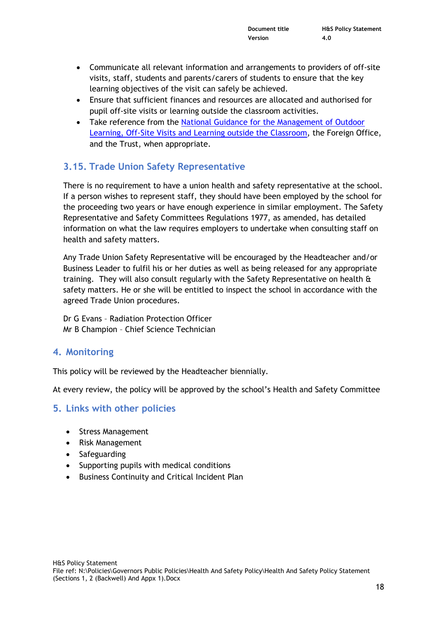- Communicate all relevant information and arrangements to providers of off-site visits, staff, students and parents/carers of students to ensure that the key learning objectives of the visit can safely be achieved.
- Ensure that sufficient finances and resources are allocated and authorised for pupil off-site visits or learning outside the classroom activities.
- Take reference from the [National Guidance for the Management of Outdoor](https://oeapng.info/)  [Learning, Off-Site Visits and Learning outside the Classroom,](https://oeapng.info/) the Foreign Office, and the Trust, when appropriate.

## **3.15. Trade Union Safety Representative**

There is no requirement to have a union health and safety representative at the school. If a person wishes to represent staff, they should have been employed by the school for the proceeding two years or have enough experience in similar employment. The Safety Representative and Safety Committees Regulations 1977, as amended, has detailed information on what the law requires employers to undertake when consulting staff on health and safety matters.

Any Trade Union Safety Representative will be encouraged by the Headteacher and/or Business Leader to fulfil his or her duties as well as being released for any appropriate training. They will also consult regularly with the Safety Representative on health & safety matters. He or she will be entitled to inspect the school in accordance with the agreed Trade Union procedures.

Dr G Evans – Radiation Protection Officer Mr B Champion – Chief Science Technician

#### **4. Monitoring**

This policy will be reviewed by the Headteacher biennially.

At every review, the policy will be approved by the school's Health and Safety Committee

#### **5. Links with other policies**

- Stress Management
- Risk Management
- Safeguarding
- Supporting pupils with medical conditions
- Business Continuity and Critical Incident Plan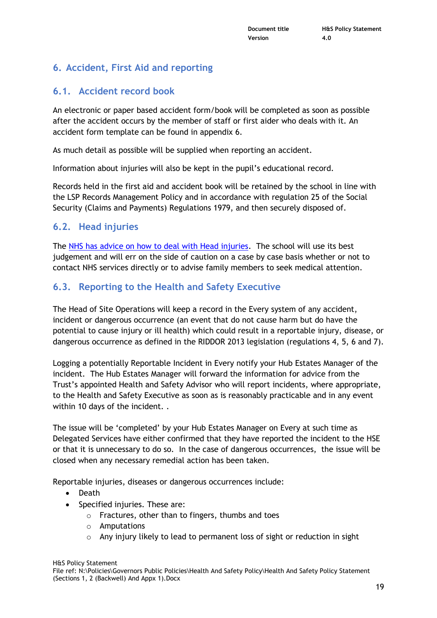## **6. Accident, First Aid and reporting**

#### **6.1. Accident record book**

An electronic or paper based accident form/book will be completed as soon as possible after the accident occurs by the member of staff or first aider who deals with it. An accident form template can be found in appendix 6.

As much detail as possible will be supplied when reporting an accident.

Information about injuries will also be kept in the pupil's educational record.

Records held in the first aid and accident book will be retained by the school in line with the LSP Records Management Policy and in accordance with regulation 25 of the Social Security (Claims and Payments) Regulations 1979, and then securely disposed of.

#### **6.2. Head injuries**

The [NHS has advice on how to deal with Head injuries.](https://www.nhs.uk/conditions/minor-head-injury/) The school will use its best judgement and will err on the side of caution on a case by case basis whether or not to contact NHS services directly or to advise family members to seek medical attention.

#### **6.3. Reporting to the Health and Safety Executive**

The Head of Site Operations will keep a record in the Every system of any accident, incident or dangerous occurrence (an event that do not cause harm but do have the potential to cause injury or ill health) which could result in a reportable injury, disease, or dangerous occurrence as defined in the RIDDOR 2013 legislation (regulations 4, 5, 6 and 7).

Logging a potentially Reportable Incident in Every notify your Hub Estates Manager of the incident. The Hub Estates Manager will forward the information for advice from the Trust's appointed Health and Safety Advisor who will report incidents, where appropriate, to the Health and Safety Executive as soon as is reasonably practicable and in any event within 10 days of the incident. .

The issue will be 'completed' by your Hub Estates Manager on Every at such time as Delegated Services have either confirmed that they have reported the incident to the HSE or that it is unnecessary to do so. In the case of dangerous occurrences, the issue will be closed when any necessary remedial action has been taken.

Reportable injuries, diseases or dangerous occurrences include:

- Death
- Specified injuries. These are:
	- o Fractures, other than to fingers, thumbs and toes
	- o Amputations
	- $\circ$  Any injury likely to lead to permanent loss of sight or reduction in sight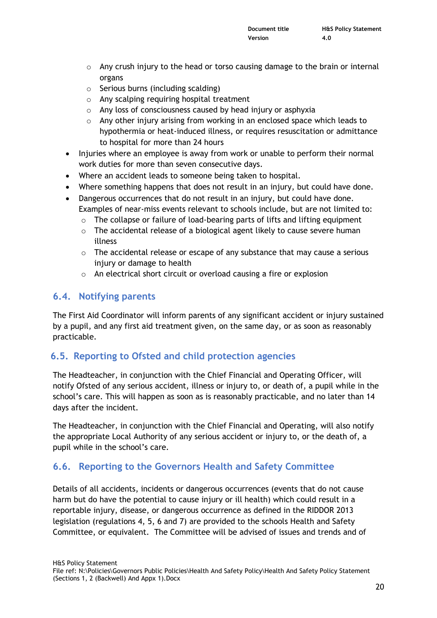- $\circ$  Any crush injury to the head or torso causing damage to the brain or internal organs
- o Serious burns (including scalding)
- o Any scalping requiring hospital treatment
- o Any loss of consciousness caused by head injury or asphyxia
- $\circ$  Any other injury arising from working in an enclosed space which leads to hypothermia or heat-induced illness, or requires resuscitation or admittance to hospital for more than 24 hours
- Injuries where an employee is away from work or unable to perform their normal work duties for more than seven consecutive days.
- Where an accident leads to someone being taken to hospital.
- Where something happens that does not result in an injury, but could have done.
- Dangerous occurrences that do not result in an injury, but could have done. Examples of near-miss events relevant to schools include, but are not limited to:
	- $\circ$  The collapse or failure of load-bearing parts of lifts and lifting equipment
	- $\circ$  The accidental release of a biological agent likely to cause severe human illness
	- o The accidental release or escape of any substance that may cause a serious injury or damage to health
	- o An electrical short circuit or overload causing a fire or explosion

#### **6.4. Notifying parents**

The First Aid Coordinator will inform parents of any significant accident or injury sustained by a pupil, and any first aid treatment given, on the same day, or as soon as reasonably practicable.

#### **6.5. Reporting to Ofsted and child protection agencies**

The Headteacher, in conjunction with the Chief Financial and Operating Officer, will notify Ofsted of any serious accident, illness or injury to, or death of, a pupil while in the school's care. This will happen as soon as is reasonably practicable, and no later than 14 days after the incident.

The Headteacher, in conjunction with the Chief Financial and Operating, will also notify the appropriate Local Authority of any serious accident or injury to, or the death of, a pupil while in the school's care.

## **6.6. Reporting to the Governors Health and Safety Committee**

Details of all accidents, incidents or dangerous occurrences (events that do not cause harm but do have the potential to cause injury or ill health) which could result in a reportable injury, disease, or dangerous occurrence as defined in the RIDDOR 2013 legislation (regulations 4, 5, 6 and 7) are provided to the schools Health and Safety Committee, or equivalent. The Committee will be advised of issues and trends and of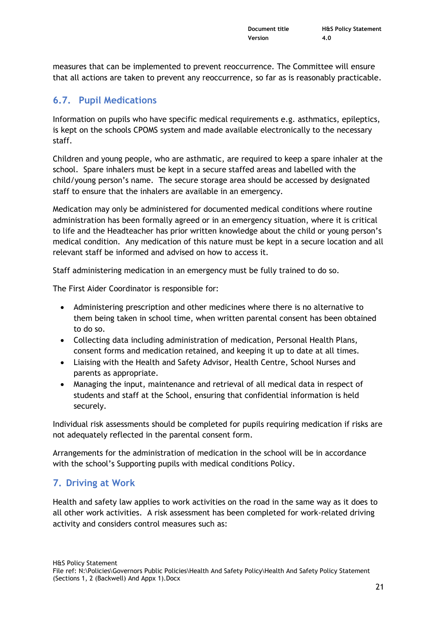measures that can be implemented to prevent reoccurrence. The Committee will ensure that all actions are taken to prevent any reoccurrence, so far as is reasonably practicable.

## **6.7. Pupil Medications**

Information on pupils who have specific medical requirements e.g. asthmatics, epileptics, is kept on the schools CPOMS system and made available electronically to the necessary staff.

Children and young people, who are asthmatic, are required to keep a spare inhaler at the school. Spare inhalers must be kept in a secure staffed areas and labelled with the child/young person's name. The secure storage area should be accessed by designated staff to ensure that the inhalers are available in an emergency.

Medication may only be administered for documented medical conditions where routine administration has been formally agreed or in an emergency situation, where it is critical to life and the Headteacher has prior written knowledge about the child or young person's medical condition. Any medication of this nature must be kept in a secure location and all relevant staff be informed and advised on how to access it.

Staff administering medication in an emergency must be fully trained to do so.

The First Aider Coordinator is responsible for:

- Administering prescription and other medicines where there is no alternative to them being taken in school time, when written parental consent has been obtained to do so.
- Collecting data including administration of medication, Personal Health Plans, consent forms and medication retained, and keeping it up to date at all times.
- Liaising with the Health and Safety Advisor, Health Centre, School Nurses and parents as appropriate.
- Managing the input, maintenance and retrieval of all medical data in respect of students and staff at the School, ensuring that confidential information is held securely.

Individual risk assessments should be completed for pupils requiring medication if risks are not adequately reflected in the parental consent form.

Arrangements for the administration of medication in the school will be in accordance with the school's Supporting pupils with medical conditions Policy.

## **7. Driving at Work**

Health and safety law applies to work activities on the road in the same way as it does to all other work activities. A risk assessment has been completed for work-related driving activity and considers control measures such as: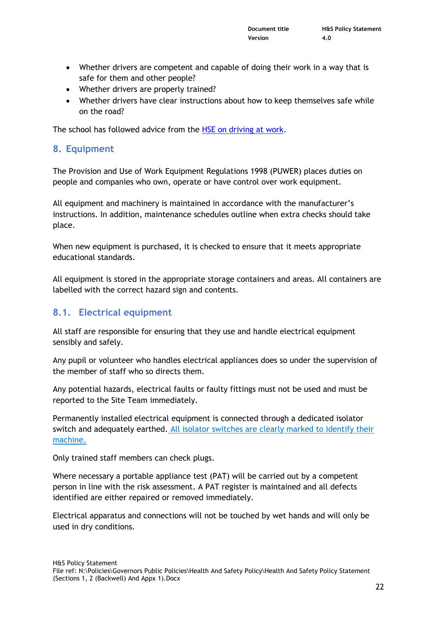- Whether drivers are competent and capable of doing their work in a way that is safe for them and other people?
- Whether drivers are properly trained?
- Whether drivers have clear instructions about how to keep themselves safe while on the road?

The school has followed advice from the **HSE** on driving at work.

#### **8. Equipment**

The Provision and Use of Work Equipment Regulations 1998 (PUWER) places duties on people and companies who own, operate or have control over work equipment.

All equipment and machinery is maintained in accordance with the manufacturer's instructions. In addition, maintenance schedules outline when extra checks should take place.

When new equipment is purchased, it is checked to ensure that it meets appropriate educational standards.

All equipment is stored in the appropriate storage containers and areas. All containers are labelled with the correct hazard sign and contents.

#### **8.1. Electrical equipment**

All staff are responsible for ensuring that they use and handle electrical equipment sensibly and safely.

Any pupil or volunteer who handles electrical appliances does so under the supervision of the member of staff who so directs them.

Any potential hazards, electrical faults or faulty fittings must not be used and must be reported to the Site Team immediately.

Permanently installed electrical equipment is connected through a dedicated isolator switch and adequately earthed. All isolator switches are clearly marked to identify their machine.

Only trained staff members can check plugs.

Where necessary a portable appliance test (PAT) will be carried out by a competent person in line with the risk assessment. A PAT register is maintained and all defects identified are either repaired or removed immediately.

Electrical apparatus and connections will not be touched by wet hands and will only be used in dry conditions.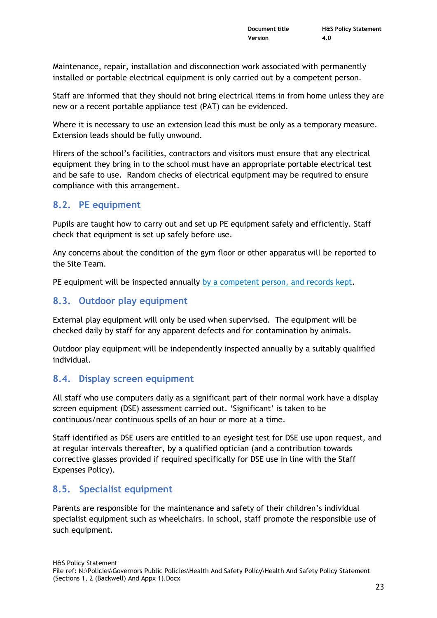Maintenance, repair, installation and disconnection work associated with permanently installed or portable electrical equipment is only carried out by a competent person.

Staff are informed that they should not bring electrical items in from home unless they are new or a recent portable appliance test (PAT) can be evidenced.

Where it is necessary to use an extension lead this must be only as a temporary measure. Extension leads should be fully unwound.

Hirers of the school's facilities, contractors and visitors must ensure that any electrical equipment they bring in to the school must have an appropriate portable electrical test and be safe to use. Random checks of electrical equipment may be required to ensure compliance with this arrangement.

## **8.2. PE equipment**

Pupils are taught how to carry out and set up PE equipment safely and efficiently. Staff check that equipment is set up safely before use.

Any concerns about the condition of the gym floor or other apparatus will be reported to the Site Team.

PE equipment will be inspected annually by a competent person, and records kept.

## **8.3. Outdoor play equipment**

External play equipment will only be used when supervised. The equipment will be checked daily by staff for any apparent defects and for contamination by animals.

Outdoor play equipment will be independently inspected annually by a suitably qualified individual.

#### **8.4. Display screen equipment**

All staff who use computers daily as a significant part of their normal work have a display screen equipment (DSE) assessment carried out. 'Significant' is taken to be continuous/near continuous spells of an hour or more at a time.

Staff identified as DSE users are entitled to an eyesight test for DSE use upon request, and at regular intervals thereafter, by a qualified optician (and a contribution towards corrective glasses provided if required specifically for DSE use in line with the Staff Expenses Policy).

## **8.5. Specialist equipment**

Parents are responsible for the maintenance and safety of their children's individual specialist equipment such as wheelchairs. In school, staff promote the responsible use of such equipment.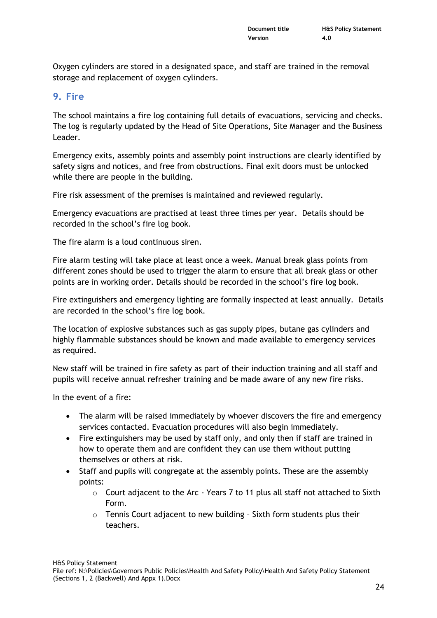Oxygen cylinders are stored in a designated space, and staff are trained in the removal storage and replacement of oxygen cylinders.

#### **9. Fire**

The school maintains a fire log containing full details of evacuations, servicing and checks. The log is regularly updated by the Head of Site Operations, Site Manager and the Business Leader.

Emergency exits, assembly points and assembly point instructions are clearly identified by safety signs and notices, and free from obstructions. Final exit doors must be unlocked while there are people in the building.

Fire risk assessment of the premises is maintained and reviewed regularly.

Emergency evacuations are practised at least three times per year. Details should be recorded in the school's fire log book.

The fire alarm is a loud continuous siren.

Fire alarm testing will take place at least once a week. Manual break glass points from different zones should be used to trigger the alarm to ensure that all break glass or other points are in working order. Details should be recorded in the school's fire log book.

Fire extinguishers and emergency lighting are formally inspected at least annually. Details are recorded in the school's fire log book.

The location of explosive substances such as gas supply pipes, butane gas cylinders and highly flammable substances should be known and made available to emergency services as required.

New staff will be trained in fire safety as part of their induction training and all staff and pupils will receive annual refresher training and be made aware of any new fire risks.

In the event of a fire:

- The alarm will be raised immediately by whoever discovers the fire and emergency services contacted. Evacuation procedures will also begin immediately.
- Fire extinguishers may be used by staff only, and only then if staff are trained in how to operate them and are confident they can use them without putting themselves or others at risk.
- Staff and pupils will congregate at the assembly points. These are the assembly points:
	- $\circ$  Court adjacent to the Arc Years 7 to 11 plus all staff not attached to Sixth Form.
	- o Tennis Court adjacent to new building Sixth form students plus their teachers.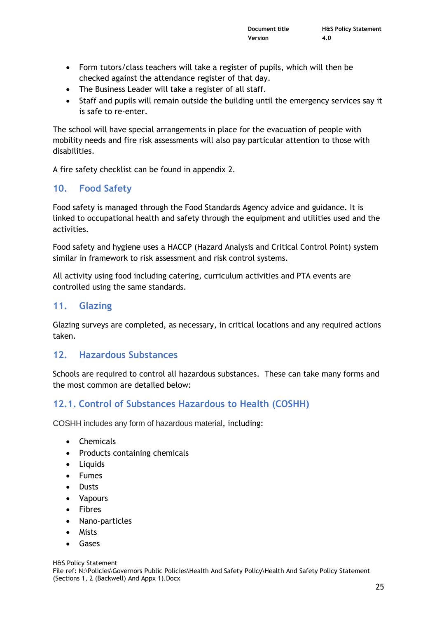- Form tutors/class teachers will take a register of pupils, which will then be checked against the attendance register of that day.
- The Business Leader will take a register of all staff.
- Staff and pupils will remain outside the building until the emergency services say it is safe to re-enter.

The school will have special arrangements in place for the evacuation of people with mobility needs and fire risk assessments will also pay particular attention to those with disabilities.

A fire safety checklist can be found in appendix 2.

#### **10. Food Safety**

Food safety is managed through the Food Standards Agency advice and guidance. It is linked to occupational health and safety through the equipment and utilities used and the activities.

Food safety and hygiene uses a HACCP (Hazard Analysis and Critical Control Point) system similar in framework to risk assessment and risk control systems.

All activity using food including catering, curriculum activities and PTA events are controlled using the same standards.

#### **11. Glazing**

Glazing surveys are completed, as necessary, in critical locations and any required actions taken.

#### **12. Hazardous Substances**

Schools are required to control all hazardous substances. These can take many forms and the most common are detailed below:

## **12.1. Control of Substances Hazardous to Health (COSHH)**

COSHH includes any form of hazardous material, including:

- Chemicals
- Products containing chemicals
- Liquids
- Fumes
- Dusts
- Vapours
- Fibres
- Nano-particles
- Mists
- Gases

H&S Policy Statement

File ref: N:\Policies\Governors Public Policies\Health And Safety Policy\Health And Safety Policy Statement (Sections 1, 2 (Backwell) And Appx 1).Docx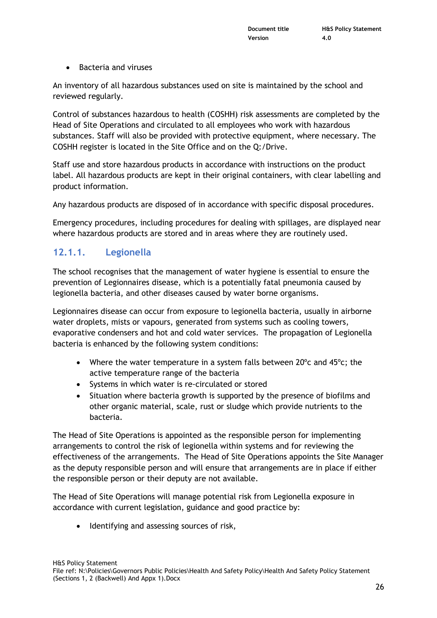Bacteria and viruses

An inventory of all hazardous substances used on site is maintained by the school and reviewed regularly.

Control of substances hazardous to health (COSHH) risk assessments are completed by the Head of Site Operations and circulated to all employees who work with hazardous substances. Staff will also be provided with protective equipment, where necessary. The COSHH register is located in the Site Office and on the Q:/Drive.

Staff use and store hazardous products in accordance with instructions on the product label. All hazardous products are kept in their original containers, with clear labelling and product information.

Any hazardous products are disposed of in accordance with specific disposal procedures.

Emergency procedures, including procedures for dealing with spillages, are displayed near where hazardous products are stored and in areas where they are routinely used.

#### **12.1.1. Legionella**

The school recognises that the management of water hygiene is essential to ensure the prevention of Legionnaires disease, which is a potentially fatal pneumonia caused by legionella bacteria, and other diseases caused by water borne organisms.

Legionnaires disease can occur from exposure to legionella bacteria, usually in airborne water droplets, mists or vapours, generated from systems such as cooling towers, evaporative condensers and hot and cold water services. The propagation of Legionella bacteria is enhanced by the following system conditions:

- Where the water temperature in a system falls between  $20^{\circ}$ c and  $45^{\circ}$ c; the active temperature range of the bacteria
- Systems in which water is re-circulated or stored
- Situation where bacteria growth is supported by the presence of biofilms and other organic material, scale, rust or sludge which provide nutrients to the bacteria.

The Head of Site Operations is appointed as the responsible person for implementing arrangements to control the risk of legionella within systems and for reviewing the effectiveness of the arrangements. The Head of Site Operations appoints the Site Manager as the deputy responsible person and will ensure that arrangements are in place if either the responsible person or their deputy are not available.

The Head of Site Operations will manage potential risk from Legionella exposure in accordance with current legislation, guidance and good practice by:

• Identifying and assessing sources of risk,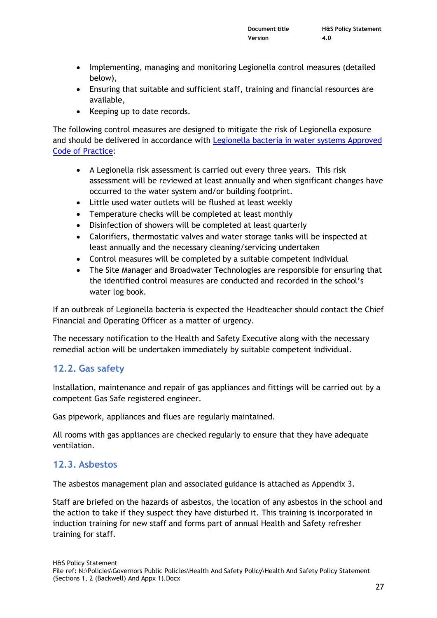- Implementing, managing and monitoring Legionella control measures (detailed below),
- Ensuring that suitable and sufficient staff, training and financial resources are available,
- Keeping up to date records.

The following control measures are designed to mitigate the risk of Legionella exposure and should be delivered in accordance with [Legionella bacteria in water systems Approved](http://www.hse.gov.uk/pubns/books/l8.htm)  [Code of Practice:](http://www.hse.gov.uk/pubns/books/l8.htm)

- A Legionella risk assessment is carried out every three years. This risk assessment will be reviewed at least annually and when significant changes have occurred to the water system and/or building footprint.
- Little used water outlets will be flushed at least weekly
- Temperature checks will be completed at least monthly
- Disinfection of showers will be completed at least quarterly
- Calorifiers, thermostatic valves and water storage tanks will be inspected at least annually and the necessary cleaning/servicing undertaken
- Control measures will be completed by a suitable competent individual
- The Site Manager and Broadwater Technologies are responsible for ensuring that the identified control measures are conducted and recorded in the school's water log book.

If an outbreak of Legionella bacteria is expected the Headteacher should contact the Chief Financial and Operating Officer as a matter of urgency.

The necessary notification to the Health and Safety Executive along with the necessary remedial action will be undertaken immediately by suitable competent individual.

## **12.2. Gas safety**

Installation, maintenance and repair of gas appliances and fittings will be carried out by a competent Gas Safe registered engineer.

Gas pipework, appliances and flues are regularly maintained.

All rooms with gas appliances are checked regularly to ensure that they have adequate ventilation.

#### **12.3. Asbestos**

The asbestos management plan and associated guidance is attached as Appendix 3.

Staff are briefed on the hazards of asbestos, the location of any asbestos in the school and the action to take if they suspect they have disturbed it. This training is incorporated in induction training for new staff and forms part of annual Health and Safety refresher training for staff.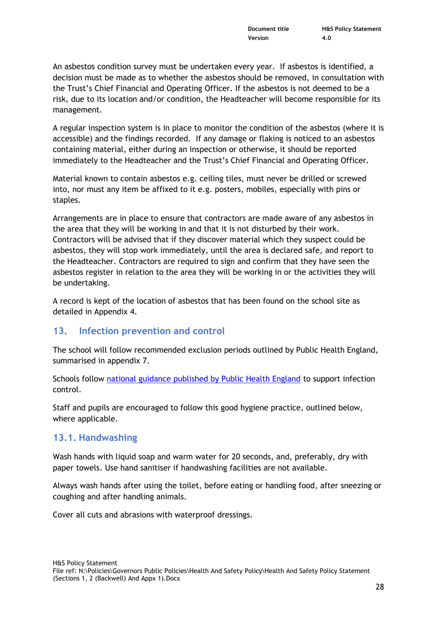An asbestos condition survey must be undertaken every year. If asbestos is identified, a decision must be made as to whether the asbestos should be removed, in consultation with the Trust's Chief Financial and Operating Officer. If the asbestos is not deemed to be a risk, due to its location and/or condition, the Headteacher will become responsible for its management.

A regular inspection system is in place to monitor the condition of the asbestos (where it is accessible) and the findings recorded. If any damage or flaking is noticed to an asbestos containing material, either during an inspection or otherwise, it should be reported immediately to the Headteacher and the Trust's Chief Financial and Operating Officer.

Material known to contain asbestos e.g. ceiling tiles, must never be drilled or screwed into, nor must any item be affixed to it e.g. posters, mobiles, especially with pins or staples.

Arrangements are in place to ensure that contractors are made aware of any asbestos in the area that they will be working in and that it is not disturbed by their work. Contractors will be advised that if they discover material which they suspect could be asbestos, they will stop work immediately, until the area is declared safe, and report to the Headteacher. Contractors are required to sign and confirm that they have seen the asbestos register in relation to the area they will be working in or the activities they will be undertaking.

A record is kept of the location of asbestos that has been found on the school site as detailed in Appendix 4.

#### **13. Infection prevention and control**

The school will follow recommended exclusion periods outlined by Public Health England, summarised in appendix 7.

Schools follow [national guidance published by Public Health England](https://www.publichealth.hscni.net/sites/default/files/Guidance_on_infection_control_in%20schools_poster.pdf) to support infection control.

Staff and pupils are encouraged to follow this good hygiene practice, outlined below, where applicable.

#### **13.1. Handwashing**

Wash hands with liquid soap and warm water for 20 seconds, and, preferably, dry with paper towels. Use hand sanitiser if handwashing facilities are not available.

Always wash hands after using the toilet, before eating or handling food, after sneezing or coughing and after handling animals.

Cover all cuts and abrasions with waterproof dressings.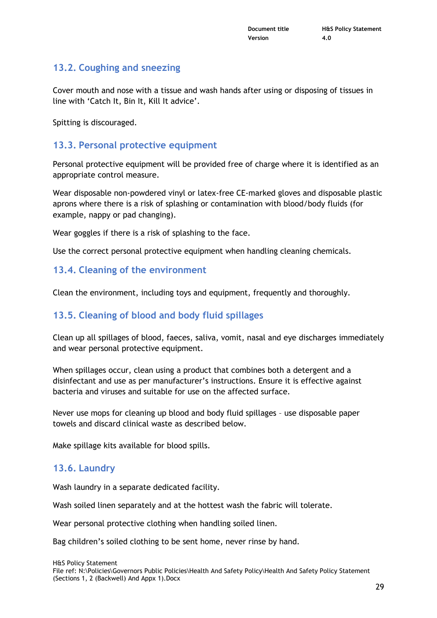#### **13.2. Coughing and sneezing**

Cover mouth and nose with a tissue and wash hands after using or disposing of tissues in line with 'Catch It, Bin It, Kill It advice'.

Spitting is discouraged.

#### **13.3. Personal protective equipment**

Personal protective equipment will be provided free of charge where it is identified as an appropriate control measure.

Wear disposable non-powdered vinyl or latex-free CE-marked gloves and disposable plastic aprons where there is a risk of splashing or contamination with blood/body fluids (for example, nappy or pad changing).

Wear goggles if there is a risk of splashing to the face.

Use the correct personal protective equipment when handling cleaning chemicals.

#### **13.4. Cleaning of the environment**

Clean the environment, including toys and equipment, frequently and thoroughly.

#### **13.5. Cleaning of blood and body fluid spillages**

Clean up all spillages of blood, faeces, saliva, vomit, nasal and eye discharges immediately and wear personal protective equipment.

When spillages occur, clean using a product that combines both a detergent and a disinfectant and use as per manufacturer's instructions. Ensure it is effective against bacteria and viruses and suitable for use on the affected surface.

Never use mops for cleaning up blood and body fluid spillages – use disposable paper towels and discard clinical waste as described below.

Make spillage kits available for blood spills.

#### **13.6. Laundry**

Wash laundry in a separate dedicated facility.

Wash soiled linen separately and at the hottest wash the fabric will tolerate.

Wear personal protective clothing when handling soiled linen.

Bag children's soiled clothing to be sent home, never rinse by hand.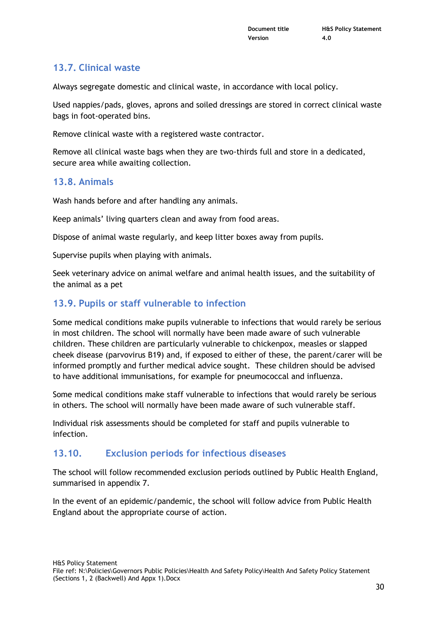## **13.7. Clinical waste**

Always segregate domestic and clinical waste, in accordance with local policy.

Used nappies/pads, gloves, aprons and soiled dressings are stored in correct clinical waste bags in foot-operated bins.

Remove clinical waste with a registered waste contractor.

Remove all clinical waste bags when they are two-thirds full and store in a dedicated, secure area while awaiting collection.

#### **13.8. Animals**

Wash hands before and after handling any animals.

Keep animals' living quarters clean and away from food areas.

Dispose of animal waste regularly, and keep litter boxes away from pupils.

Supervise pupils when playing with animals.

Seek veterinary advice on animal welfare and animal health issues, and the suitability of the animal as a pet

#### **13.9. Pupils or staff vulnerable to infection**

Some medical conditions make pupils vulnerable to infections that would rarely be serious in most children. The school will normally have been made aware of such vulnerable children. These children are particularly vulnerable to chickenpox, measles or slapped cheek disease (parvovirus B19) and, if exposed to either of these, the parent/carer will be informed promptly and further medical advice sought. These children should be advised to have additional immunisations, for example for pneumococcal and influenza.

Some medical conditions make staff vulnerable to infections that would rarely be serious in others. The school will normally have been made aware of such vulnerable staff.

Individual risk assessments should be completed for staff and pupils vulnerable to infection.

#### **13.10. Exclusion periods for infectious diseases**

The school will follow recommended exclusion periods outlined by Public Health England, summarised in appendix 7.

In the event of an epidemic/pandemic, the school will follow advice from Public Health England about the appropriate course of action.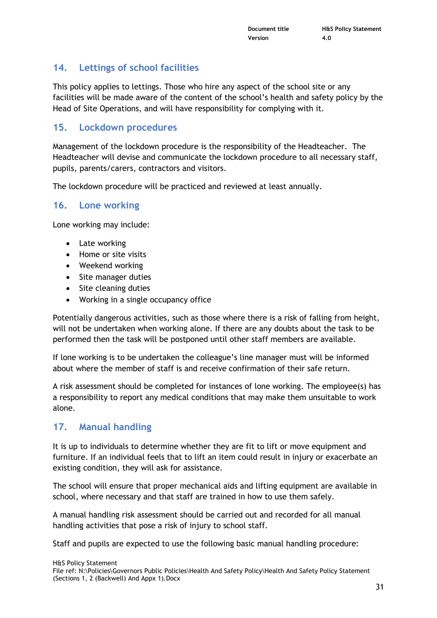### **14. Lettings of school facilities**

This policy applies to lettings. Those who hire any aspect of the school site or any facilities will be made aware of the content of the school's health and safety policy by the Head of Site Operations, and will have responsibility for complying with it.

#### **15. Lockdown procedures**

Management of the lockdown procedure is the responsibility of the Headteacher. The Headteacher will devise and communicate the lockdown procedure to all necessary staff, pupils, parents/carers, contractors and visitors.

The lockdown procedure will be practiced and reviewed at least annually.

#### **16. Lone working**

Lone working may include:

- Late working
- Home or site visits
- Weekend working
- Site manager duties
- Site cleaning duties
- Working in a single occupancy office

Potentially dangerous activities, such as those where there is a risk of falling from height, will not be undertaken when working alone. If there are any doubts about the task to be performed then the task will be postponed until other staff members are available.

If lone working is to be undertaken the colleague's line manager must will be informed about where the member of staff is and receive confirmation of their safe return.

A risk assessment should be completed for instances of lone working. The employee(s) has a responsibility to report any medical conditions that may make them unsuitable to work alone.

#### **17. Manual handling**

It is up to individuals to determine whether they are fit to lift or move equipment and furniture. If an individual feels that to lift an item could result in injury or exacerbate an existing condition, they will ask for assistance.

The school will ensure that proper mechanical aids and lifting equipment are available in school, where necessary and that staff are trained in how to use them safely.

A manual handling risk assessment should be carried out and recorded for all manual handling activities that pose a risk of injury to school staff.

Staff and pupils are expected to use the following basic manual handling procedure: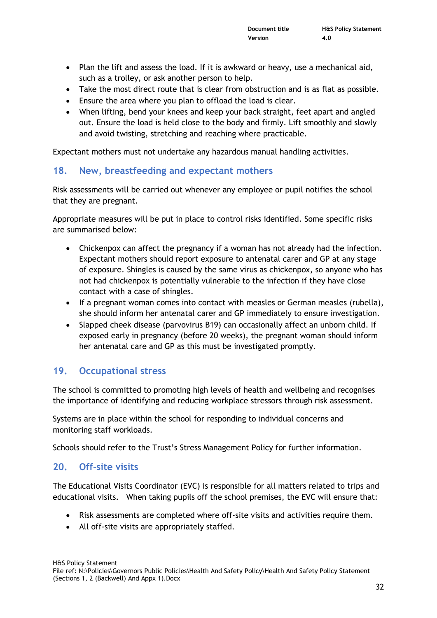- Plan the lift and assess the load. If it is awkward or heavy, use a mechanical aid, such as a trolley, or ask another person to help.
- Take the most direct route that is clear from obstruction and is as flat as possible.
- Ensure the area where you plan to offload the load is clear.
- When lifting, bend your knees and keep your back straight, feet apart and angled out. Ensure the load is held close to the body and firmly. Lift smoothly and slowly and avoid twisting, stretching and reaching where practicable.

Expectant mothers must not undertake any hazardous manual handling activities.

#### **18. New, breastfeeding and expectant mothers**

Risk assessments will be carried out whenever any employee or pupil notifies the school that they are pregnant.

Appropriate measures will be put in place to control risks identified. Some specific risks are summarised below:

- Chickenpox can affect the pregnancy if a woman has not already had the infection. Expectant mothers should report exposure to antenatal carer and GP at any stage of exposure. Shingles is caused by the same virus as chickenpox, so anyone who has not had chickenpox is potentially vulnerable to the infection if they have close contact with a case of shingles.
- If a pregnant woman comes into contact with measles or German measles (rubella), she should inform her antenatal carer and GP immediately to ensure investigation.
- Slapped cheek disease (parvovirus B19) can occasionally affect an unborn child. If exposed early in pregnancy (before 20 weeks), the pregnant woman should inform her antenatal care and GP as this must be investigated promptly.

#### **19. Occupational stress**

The school is committed to promoting high levels of health and wellbeing and recognises the importance of identifying and reducing workplace stressors through risk assessment.

Systems are in place within the school for responding to individual concerns and monitoring staff workloads.

Schools should refer to the Trust's Stress Management Policy for further information.

#### **20. Off-site visits**

The Educational Visits Coordinator (EVC) is responsible for all matters related to trips and educational visits. When taking pupils off the school premises, the EVC will ensure that:

- Risk assessments are completed where off-site visits and activities require them.
- All off-site visits are appropriately staffed.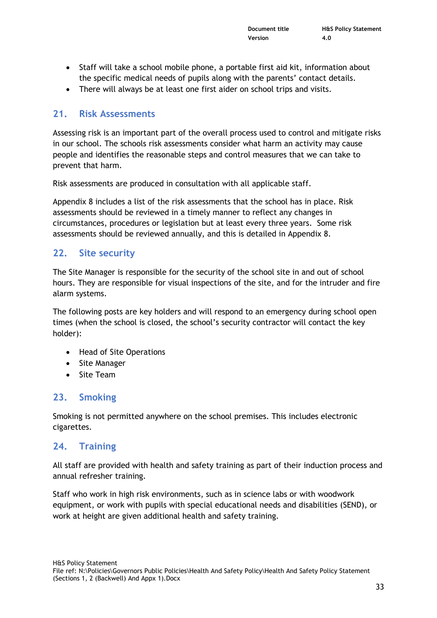- Staff will take a school mobile phone, a portable first aid kit, information about the specific medical needs of pupils along with the parents' contact details.
- There will always be at least one first aider on school trips and visits.

#### **21. Risk Assessments**

Assessing risk is an important part of the overall process used to control and mitigate risks in our school. The schools risk assessments consider what harm an activity may cause people and identifies the reasonable steps and control measures that we can take to prevent that harm.

Risk assessments are produced in consultation with all applicable staff.

Appendix 8 includes a list of the risk assessments that the school has in place. Risk assessments should be reviewed in a timely manner to reflect any changes in circumstances, procedures or legislation but at least every three years. Some risk assessments should be reviewed annually, and this is detailed in Appendix 8.

#### **22. Site security**

The Site Manager is responsible for the security of the school site in and out of school hours. They are responsible for visual inspections of the site, and for the intruder and fire alarm systems.

The following posts are key holders and will respond to an emergency during school open times (when the school is closed, the school's security contractor will contact the key holder):

- Head of Site Operations
- Site Manager
- Site Team

#### **23. Smoking**

Smoking is not permitted anywhere on the school premises. This includes electronic cigarettes.

#### **24. Training**

All staff are provided with health and safety training as part of their induction process and annual refresher training.

Staff who work in high risk environments, such as in science labs or with woodwork equipment, or work with pupils with special educational needs and disabilities (SEND), or work at height are given additional health and safety training.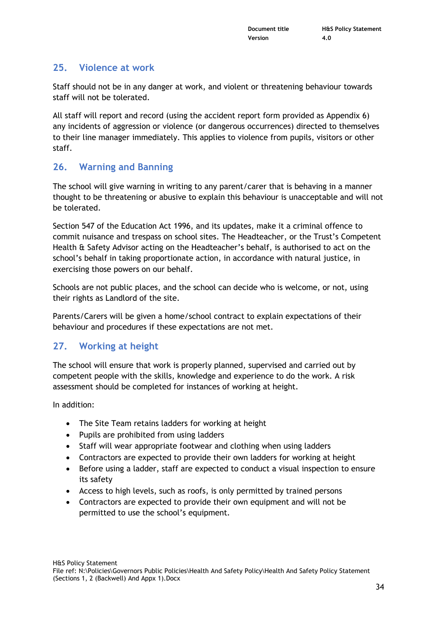#### **25. Violence at work**

Staff should not be in any danger at work, and violent or threatening behaviour towards staff will not be tolerated.

All staff will report and record (using the accident report form provided as Appendix 6) any incidents of aggression or violence (or dangerous occurrences) directed to themselves to their line manager immediately. This applies to violence from pupils, visitors or other staff.

#### **26. Warning and Banning**

The school will give warning in writing to any parent/carer that is behaving in a manner thought to be threatening or abusive to explain this behaviour is unacceptable and will not be tolerated.

Section 547 of the Education Act 1996, and its updates, make it a criminal offence to commit nuisance and trespass on school sites. The Headteacher, or the Trust's Competent Health & Safety Advisor acting on the Headteacher's behalf, is authorised to act on the school's behalf in taking proportionate action, in accordance with natural justice, in exercising those powers on our behalf.

Schools are not public places, and the school can decide who is welcome, or not, using their rights as Landlord of the site.

Parents/Carers will be given a home/school contract to explain expectations of their behaviour and procedures if these expectations are not met.

#### **27. Working at height**

The school will ensure that work is properly planned, supervised and carried out by competent people with the skills, knowledge and experience to do the work. A risk assessment should be completed for instances of working at height.

In addition:

- The Site Team retains ladders for working at height
- Pupils are prohibited from using ladders
- Staff will wear appropriate footwear and clothing when using ladders
- Contractors are expected to provide their own ladders for working at height
- Before using a ladder, staff are expected to conduct a visual inspection to ensure its safety
- Access to high levels, such as roofs, is only permitted by trained persons
- Contractors are expected to provide their own equipment and will not be permitted to use the school's equipment.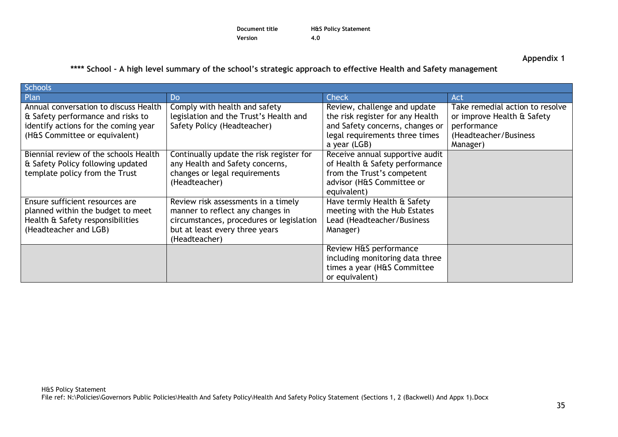| Document title | <b>H&amp;S Policy Statement</b> |
|----------------|---------------------------------|
| Version        | 4.0                             |

**Appendix 1**

**\*\*\*\* School - A high level summary of the school's strategic approach to effective Health and Safety management**

| <b>Schools</b>                                                                                                                                      |                                                                                                                                                                        |                                                                                                                                                       |                                                                                                                   |
|-----------------------------------------------------------------------------------------------------------------------------------------------------|------------------------------------------------------------------------------------------------------------------------------------------------------------------------|-------------------------------------------------------------------------------------------------------------------------------------------------------|-------------------------------------------------------------------------------------------------------------------|
| Plan                                                                                                                                                | Do                                                                                                                                                                     | Check                                                                                                                                                 | Act                                                                                                               |
| Annual conversation to discuss Health<br>& Safety performance and risks to<br>identify actions for the coming year<br>(H&S Committee or equivalent) | Comply with health and safety<br>legislation and the Trust's Health and<br>Safety Policy (Headteacher)                                                                 | Review, challenge and update<br>the risk register for any Health<br>and Safety concerns, changes or<br>legal requirements three times<br>a year (LGB) | Take remedial action to resolve<br>or improve Health & Safety<br>performance<br>(Headteacher/Business<br>Manager) |
| Biennial review of the schools Health<br>& Safety Policy following updated<br>template policy from the Trust                                        | Continually update the risk register for<br>any Health and Safety concerns,<br>changes or legal requirements<br>(Headteacher)                                          | Receive annual supportive audit<br>of Health & Safety performance<br>from the Trust's competent<br>advisor (H&S Committee or<br>equivalent)           |                                                                                                                   |
| Ensure sufficient resources are<br>planned within the budget to meet<br>Health & Safety responsibilities<br>(Headteacher and LGB)                   | Review risk assessments in a timely<br>manner to reflect any changes in<br>circumstances, procedures or legislation<br>but at least every three years<br>(Headteacher) | Have termly Health & Safety<br>meeting with the Hub Estates<br>Lead (Headteacher/Business<br>Manager)                                                 |                                                                                                                   |
|                                                                                                                                                     |                                                                                                                                                                        | Review H&S performance<br>including monitoring data three<br>times a year (H&S Committee<br>or equivalent)                                            |                                                                                                                   |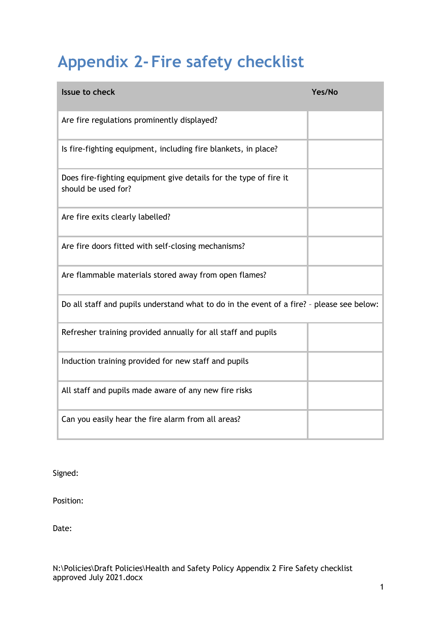# **Appendix 2- Fire safety checklist**

| <b>Issue to check</b>                                                                     | Yes/No |
|-------------------------------------------------------------------------------------------|--------|
| Are fire regulations prominently displayed?                                               |        |
| Is fire-fighting equipment, including fire blankets, in place?                            |        |
| Does fire-fighting equipment give details for the type of fire it<br>should be used for?  |        |
| Are fire exits clearly labelled?                                                          |        |
| Are fire doors fitted with self-closing mechanisms?                                       |        |
| Are flammable materials stored away from open flames?                                     |        |
| Do all staff and pupils understand what to do in the event of a fire? - please see below: |        |
| Refresher training provided annually for all staff and pupils                             |        |
| Induction training provided for new staff and pupils                                      |        |
| All staff and pupils made aware of any new fire risks                                     |        |
| Can you easily hear the fire alarm from all areas?                                        |        |

Signed:

Position:

Date: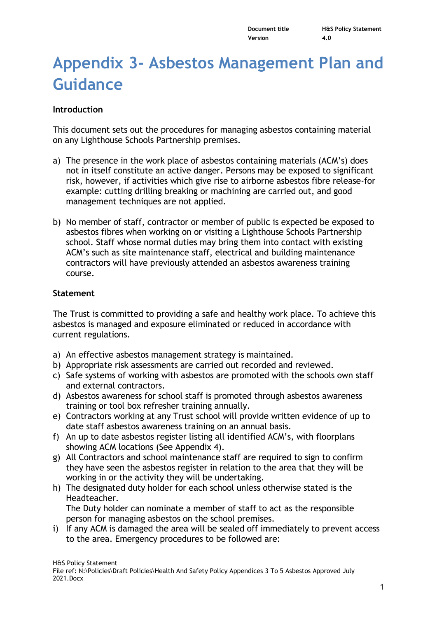## **Appendix 3- Asbestos Management Plan and Guidance**

#### **Introduction**

This document sets out the procedures for managing asbestos containing material on any Lighthouse Schools Partnership premises.

- a) The presence in the work place of asbestos containing materials (ACM's) does not in itself constitute an active danger. Persons may be exposed to significant risk, however, if activities which give rise to airborne asbestos fibre release-for example: cutting drilling breaking or machining are carried out, and good management techniques are not applied.
- b) No member of staff, contractor or member of public is expected be exposed to asbestos fibres when working on or visiting a Lighthouse Schools Partnership school. Staff whose normal duties may bring them into contact with existing ACM's such as site maintenance staff, electrical and building maintenance contractors will have previously attended an asbestos awareness training course.

#### **Statement**

The Trust is committed to providing a safe and healthy work place. To achieve this asbestos is managed and exposure eliminated or reduced in accordance with current regulations.

- a) An effective asbestos management strategy is maintained.
- b) Appropriate risk assessments are carried out recorded and reviewed.
- c) Safe systems of working with asbestos are promoted with the schools own staff and external contractors.
- d) Asbestos awareness for school staff is promoted through asbestos awareness training or tool box refresher training annually.
- e) Contractors working at any Trust school will provide written evidence of up to date staff asbestos awareness training on an annual basis.
- f) An up to date asbestos register listing all identified ACM's, with floorplans showing ACM locations (See Appendix 4).
- g) All Contractors and school maintenance staff are required to sign to confirm they have seen the asbestos register in relation to the area that they will be working in or the activity they will be undertaking.
- h) The designated duty holder for each school unless otherwise stated is the Headteacher. The Duty holder can nominate a member of staff to act as the responsible
- person for managing asbestos on the school premises. i) If any ACM is damaged the area will be sealed off immediately to prevent access to the area. Emergency procedures to be followed are: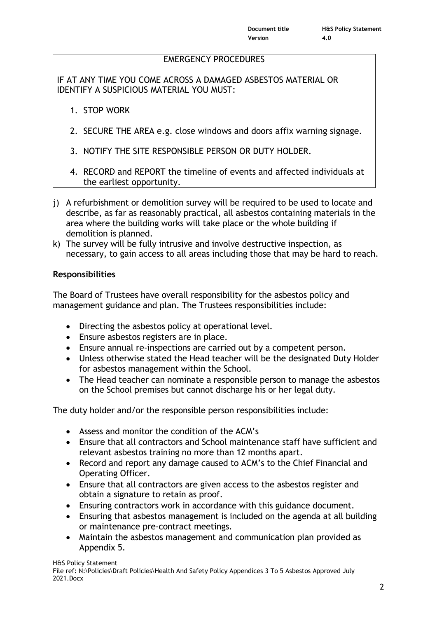#### EMERGENCY PROCEDURES

IF AT ANY TIME YOU COME ACROSS A DAMAGED ASBESTOS MATERIAL OR IDENTIFY A SUSPICIOUS MATERIAL YOU MUST:

- 1. STOP WORK
- 2. SECURE THE AREA e.g. close windows and doors affix warning signage.
- 3. NOTIFY THE SITE RESPONSIBLE PERSON OR DUTY HOLDER.
- 4. RECORD and REPORT the timeline of events and affected individuals at the earliest opportunity.
- j) A refurbishment or demolition survey will be required to be used to locate and describe, as far as reasonably practical, all asbestos containing materials in the area where the building works will take place or the whole building if demolition is planned.
- k) The survey will be fully intrusive and involve destructive inspection, as necessary, to gain access to all areas including those that may be hard to reach.

#### **Responsibilities**

The Board of Trustees have overall responsibility for the asbestos policy and management guidance and plan. The Trustees responsibilities include:

- Directing the asbestos policy at operational level.
- Ensure asbestos registers are in place.
- Ensure annual re-inspections are carried out by a competent person.
- Unless otherwise stated the Head teacher will be the designated Duty Holder for asbestos management within the School.
- The Head teacher can nominate a responsible person to manage the asbestos on the School premises but cannot discharge his or her legal duty.

The duty holder and/or the responsible person responsibilities include:

- Assess and monitor the condition of the ACM's
- Ensure that all contractors and School maintenance staff have sufficient and relevant asbestos training no more than 12 months apart.
- Record and report any damage caused to ACM's to the Chief Financial and Operating Officer.
- Ensure that all contractors are given access to the asbestos register and obtain a signature to retain as proof.
- Ensuring contractors work in accordance with this guidance document.
- Ensuring that asbestos management is included on the agenda at all building or maintenance pre-contract meetings.
- Maintain the asbestos management and communication plan provided as Appendix 5.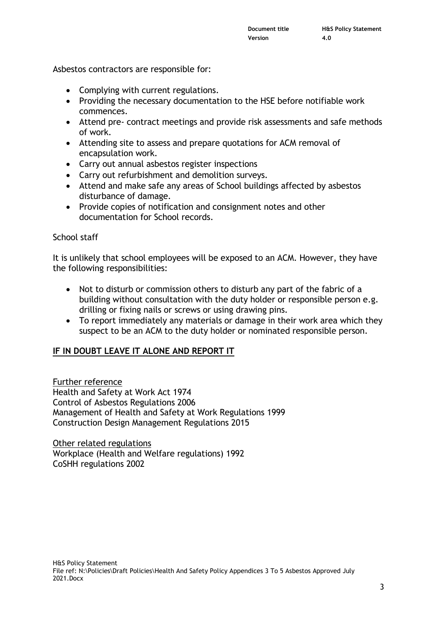Asbestos contractors are responsible for:

- Complying with current regulations.
- Providing the necessary documentation to the HSE before notifiable work commences.
- Attend pre- contract meetings and provide risk assessments and safe methods of work.
- Attending site to assess and prepare quotations for ACM removal of encapsulation work.
- Carry out annual asbestos register inspections
- Carry out refurbishment and demolition surveys.
- Attend and make safe any areas of School buildings affected by asbestos disturbance of damage.
- Provide copies of notification and consignment notes and other documentation for School records.

#### School staff

It is unlikely that school employees will be exposed to an ACM. However, they have the following responsibilities:

- Not to disturb or commission others to disturb any part of the fabric of a building without consultation with the duty holder or responsible person e.g. drilling or fixing nails or screws or using drawing pins.
- To report immediately any materials or damage in their work area which they suspect to be an ACM to the duty holder or nominated responsible person.

#### **IF IN DOUBT LEAVE IT ALONE AND REPORT IT**

Further reference Health and Safety at Work Act 1974 Control of Asbestos Regulations 2006 Management of Health and Safety at Work Regulations 1999 Construction Design Management Regulations 2015

Other related regulations Workplace (Health and Welfare regulations) 1992 CoSHH regulations 2002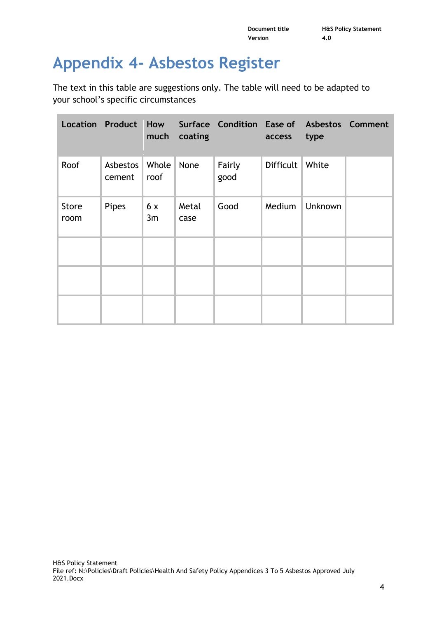## **Appendix 4- Asbestos Register**

The text in this table are suggestions only. The table will need to be adapted to your school's specific circumstances

|                      |                    | much          | coating       | Location Product How Surface Condition Ease of Asbestos Comment | access    | type    |  |
|----------------------|--------------------|---------------|---------------|-----------------------------------------------------------------|-----------|---------|--|
| Roof                 | Asbestos<br>cement | Whole<br>roof | None          | Fairly<br>good                                                  | Difficult | White   |  |
| <b>Store</b><br>room | Pipes              | 6x<br>3m      | Metal<br>case | Good                                                            | Medium    | Unknown |  |
|                      |                    |               |               |                                                                 |           |         |  |
|                      |                    |               |               |                                                                 |           |         |  |
|                      |                    |               |               |                                                                 |           |         |  |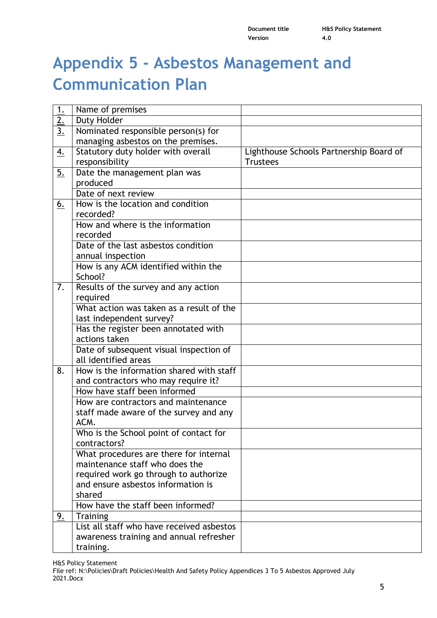**Document title H&S Policy Statement Version 4.0**

## **Appendix 5 - Asbestos Management and Communication Plan**

| 1.              | Name of premises                          |                                         |
|-----------------|-------------------------------------------|-----------------------------------------|
| $\overline{2.}$ | Duty Holder                               |                                         |
| $\overline{3.}$ | Nominated responsible person(s) for       |                                         |
|                 | managing asbestos on the premises.        |                                         |
| <u>4.</u>       | Statutory duty holder with overall        | Lighthouse Schools Partnership Board of |
|                 | responsibility                            | <b>Trustees</b>                         |
| <u>5.</u>       | Date the management plan was              |                                         |
|                 | produced                                  |                                         |
|                 | Date of next review                       |                                         |
| 6.              | How is the location and condition         |                                         |
|                 | recorded?                                 |                                         |
|                 | How and where is the information          |                                         |
|                 | recorded                                  |                                         |
|                 | Date of the last asbestos condition       |                                         |
|                 | annual inspection                         |                                         |
|                 | How is any ACM identified within the      |                                         |
|                 | School?                                   |                                         |
| 7.              | Results of the survey and any action      |                                         |
|                 | required                                  |                                         |
|                 | What action was taken as a result of the  |                                         |
|                 | last independent survey?                  |                                         |
|                 | Has the register been annotated with      |                                         |
|                 | actions taken                             |                                         |
|                 | Date of subsequent visual inspection of   |                                         |
|                 | all identified areas                      |                                         |
| 8.              | How is the information shared with staff  |                                         |
|                 | and contractors who may require it?       |                                         |
|                 | How have staff been informed              |                                         |
|                 | How are contractors and maintenance       |                                         |
|                 | staff made aware of the survey and any    |                                         |
|                 | ACM.                                      |                                         |
|                 | Who is the School point of contact for    |                                         |
|                 | contractors?                              |                                         |
|                 | What procedures are there for internal    |                                         |
|                 | maintenance staff who does the            |                                         |
|                 | required work go through to authorize     |                                         |
|                 | and ensure asbestos information is        |                                         |
|                 | shared                                    |                                         |
|                 | How have the staff been informed?         |                                         |
| <u>9.</u>       | <b>Training</b>                           |                                         |
|                 | List all staff who have received asbestos |                                         |
|                 | awareness training and annual refresher   |                                         |
|                 | training.                                 |                                         |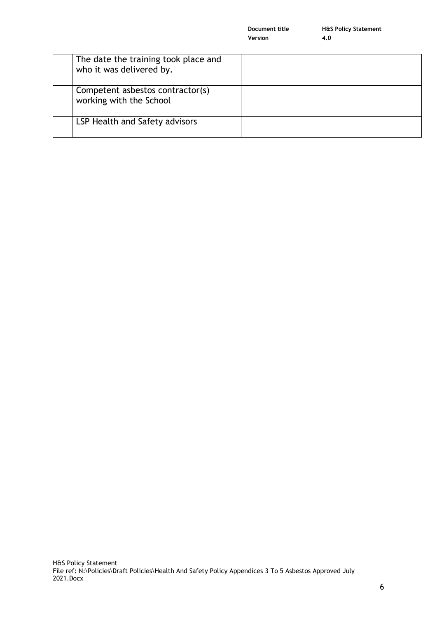|                                                                  | Version | 4.0 |
|------------------------------------------------------------------|---------|-----|
| The date the training took place and<br>who it was delivered by. |         |     |
| Competent asbestos contractor(s)<br>working with the School      |         |     |
| LSP Health and Safety advisors                                   |         |     |

**Document title H&S Policy Statement**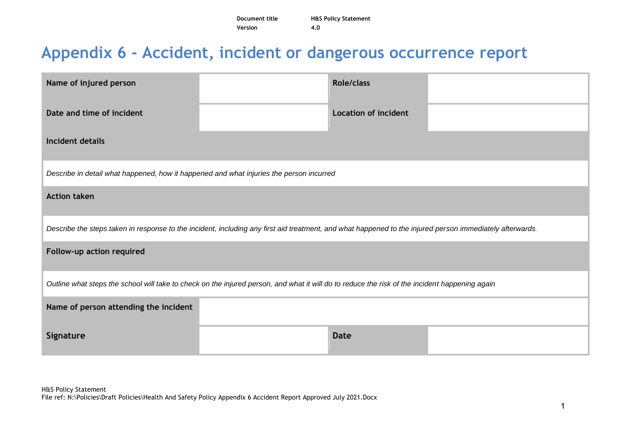| Document title | <b>H&amp;S Policy Statement</b> |
|----------------|---------------------------------|
| Version        | 4.0                             |

## **Appendix 6 - Accident, incident or dangerous occurrence report**

| Name of injured person                                                                                                                                   |  | <b>Role/class</b>           |  |  |  |
|----------------------------------------------------------------------------------------------------------------------------------------------------------|--|-----------------------------|--|--|--|
| Date and time of incident                                                                                                                                |  | <b>Location of incident</b> |  |  |  |
| Incident details                                                                                                                                         |  |                             |  |  |  |
| Describe in detail what happened, how it happened and what injuries the person incurred                                                                  |  |                             |  |  |  |
| <b>Action taken</b>                                                                                                                                      |  |                             |  |  |  |
| Describe the steps taken in response to the incident, including any first aid treatment, and what happened to the injured person immediately afterwards. |  |                             |  |  |  |
| Follow-up action required                                                                                                                                |  |                             |  |  |  |
| Outline what steps the school will take to check on the injured person, and what it will do to reduce the risk of the incident happening again           |  |                             |  |  |  |
| Name of person attending the incident                                                                                                                    |  |                             |  |  |  |
| Signature                                                                                                                                                |  | <b>Date</b>                 |  |  |  |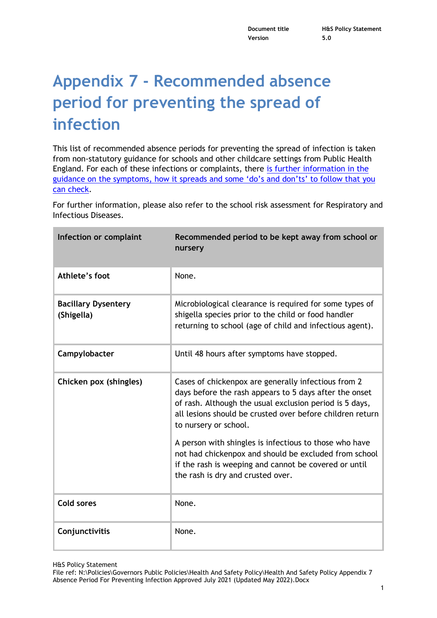## **Appendix 7 - Recommended absence period for preventing the spread of infection**

This list of recommended absence periods for preventing the spread of infection is taken from non-statutory guidance for schools and other childcare settings from Public Health England. For each of these infections or complaints, there [is further information in the](https://www.gov.uk/government/publications/health-protection-in-schools-and-other-childcare-facilities/chapter-9-managing-specific-infectious-diseases)  [guidance on the symptoms, how it spreads and some 'do's and don'ts' to follow t](https://www.gov.uk/government/publications/health-protection-in-schools-and-other-childcare-facilities/chapter-9-managing-specific-infectious-diseases)hat you [can check.](https://www.gov.uk/government/publications/health-protection-in-schools-and-other-childcare-facilities/chapter-9-managing-specific-infectious-diseases)

For further information, please also refer to the school risk assessment for Respiratory and Infectious Diseases.

| Infection or complaint                   | Recommended period to be kept away from school or<br>nursery                                                                                                                                                                                                   |
|------------------------------------------|----------------------------------------------------------------------------------------------------------------------------------------------------------------------------------------------------------------------------------------------------------------|
| Athlete's foot                           | None.                                                                                                                                                                                                                                                          |
| <b>Bacillary Dysentery</b><br>(Shigella) | Microbiological clearance is required for some types of<br>shigella species prior to the child or food handler<br>returning to school (age of child and infectious agent).                                                                                     |
| Campylobacter                            | Until 48 hours after symptoms have stopped.                                                                                                                                                                                                                    |
| Chicken pox (shingles)                   | Cases of chickenpox are generally infectious from 2<br>days before the rash appears to 5 days after the onset<br>of rash. Although the usual exclusion period is 5 days,<br>all lesions should be crusted over before children return<br>to nursery or school. |
|                                          | A person with shingles is infectious to those who have<br>not had chickenpox and should be excluded from school<br>if the rash is weeping and cannot be covered or until<br>the rash is dry and crusted over.                                                  |
| Cold sores                               | None.                                                                                                                                                                                                                                                          |
| Conjunctivitis                           | None.                                                                                                                                                                                                                                                          |

File ref: N:\Policies\Governors Public Policies\Health And Safety Policy\Health And Safety Policy Appendix 7 Absence Period For Preventing Infection Approved July 2021 (Updated May 2022).Docx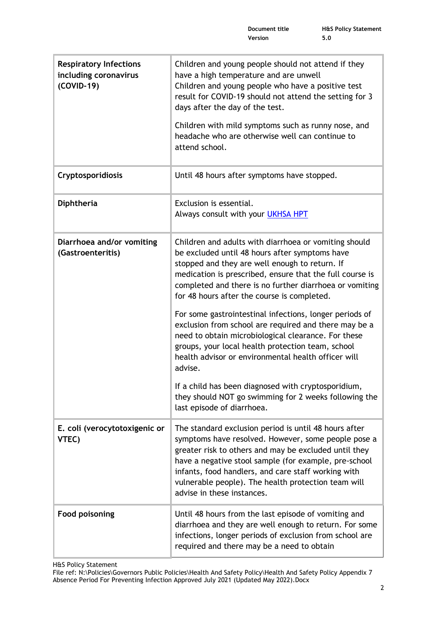| <b>Respiratory Infections</b><br>including coronavirus<br>(COVID-19) | Children and young people should not attend if they<br>have a high temperature and are unwell<br>Children and young people who have a positive test<br>result for COVID-19 should not attend the setting for 3<br>days after the day of the test.<br>Children with mild symptoms such as runny nose, and                                                                   |
|----------------------------------------------------------------------|----------------------------------------------------------------------------------------------------------------------------------------------------------------------------------------------------------------------------------------------------------------------------------------------------------------------------------------------------------------------------|
|                                                                      | headache who are otherwise well can continue to<br>attend school.                                                                                                                                                                                                                                                                                                          |
| Cryptosporidiosis                                                    | Until 48 hours after symptoms have stopped.                                                                                                                                                                                                                                                                                                                                |
| Diphtheria                                                           | Exclusion is essential.<br>Always consult with your UKHSA HPT                                                                                                                                                                                                                                                                                                              |
| Diarrhoea and/or vomiting<br>(Gastroenteritis)                       | Children and adults with diarrhoea or vomiting should<br>be excluded until 48 hours after symptoms have<br>stopped and they are well enough to return. If<br>medication is prescribed, ensure that the full course is<br>completed and there is no further diarrhoea or vomiting<br>for 48 hours after the course is completed.                                            |
|                                                                      | For some gastrointestinal infections, longer periods of<br>exclusion from school are required and there may be a<br>need to obtain microbiological clearance. For these<br>groups, your local health protection team, school<br>health advisor or environmental health officer will<br>advise.                                                                             |
|                                                                      | If a child has been diagnosed with cryptosporidium,<br>they should NOT go swimming for 2 weeks following the<br>last episode of diarrhoea.                                                                                                                                                                                                                                 |
| E. coli (verocytotoxigenic or<br>VTEC)                               | The standard exclusion period is until 48 hours after<br>symptoms have resolved. However, some people pose a<br>greater risk to others and may be excluded until they<br>have a negative stool sample (for example, pre-school<br>infants, food handlers, and care staff working with<br>vulnerable people). The health protection team will<br>advise in these instances. |
| <b>Food poisoning</b>                                                | Until 48 hours from the last episode of vomiting and<br>diarrhoea and they are well enough to return. For some<br>infections, longer periods of exclusion from school are<br>required and there may be a need to obtain                                                                                                                                                    |

H&S Policy Statement

File ref: N:\Policies\Governors Public Policies\Health And Safety Policy\Health And Safety Policy Appendix 7 Absence Period For Preventing Infection Approved July 2021 (Updated May 2022).Docx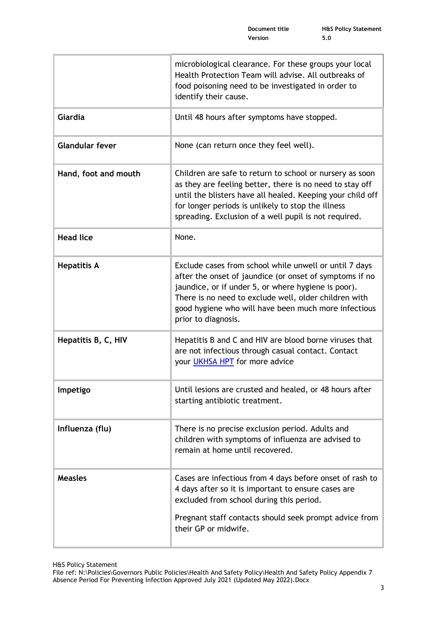| microbiological clearance. For these groups your local<br>Health Protection Team will advise. All outbreaks of<br>food poisoning need to be investigated in order to<br>identify their cause.                                                                                                                    |
|------------------------------------------------------------------------------------------------------------------------------------------------------------------------------------------------------------------------------------------------------------------------------------------------------------------|
| Until 48 hours after symptoms have stopped.                                                                                                                                                                                                                                                                      |
| None (can return once they feel well).                                                                                                                                                                                                                                                                           |
| Children are safe to return to school or nursery as soon<br>as they are feeling better, there is no need to stay off<br>until the blisters have all healed. Keeping your child off<br>for longer periods is unlikely to stop the illness<br>spreading. Exclusion of a well pupil is not required.                |
| None.                                                                                                                                                                                                                                                                                                            |
| Exclude cases from school while unwell or until 7 days<br>after the onset of jaundice (or onset of symptoms if no<br>jaundice, or if under 5, or where hygiene is poor).<br>There is no need to exclude well, older children with<br>good hygiene who will have been much more infectious<br>prior to diagnosis. |
| Hepatitis B and C and HIV are blood borne viruses that<br>are not infectious through casual contact. Contact<br>your UKHSA HPT for more advice                                                                                                                                                                   |
| Until lesions are crusted and healed, or 48 hours after<br>starting antibiotic treatment.                                                                                                                                                                                                                        |
| There is no precise exclusion period. Adults and<br>children with symptoms of influenza are advised to<br>remain at home until recovered.                                                                                                                                                                        |
| Cases are infectious from 4 days before onset of rash to<br>4 days after so it is important to ensure cases are<br>excluded from school during this period.<br>Pregnant staff contacts should seek prompt advice from<br>their GP or midwife.                                                                    |
|                                                                                                                                                                                                                                                                                                                  |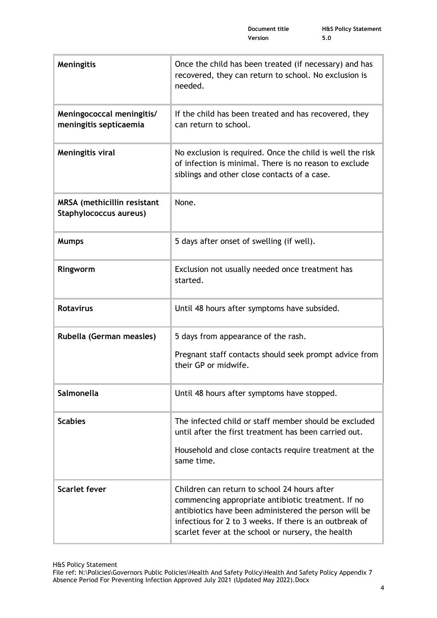| Meningitis                                            | Once the child has been treated (if necessary) and has<br>recovered, they can return to school. No exclusion is<br>needed.                                                                                                                                                   |
|-------------------------------------------------------|------------------------------------------------------------------------------------------------------------------------------------------------------------------------------------------------------------------------------------------------------------------------------|
| Meningococcal meningitis/<br>meningitis septicaemia   | If the child has been treated and has recovered, they<br>can return to school.                                                                                                                                                                                               |
| Meningitis viral                                      | No exclusion is required. Once the child is well the risk<br>of infection is minimal. There is no reason to exclude<br>siblings and other close contacts of a case.                                                                                                          |
| MRSA (methicillin resistant<br>Staphylococcus aureus) | None.                                                                                                                                                                                                                                                                        |
| <b>Mumps</b>                                          | 5 days after onset of swelling (if well).                                                                                                                                                                                                                                    |
| Ringworm                                              | Exclusion not usually needed once treatment has<br>started.                                                                                                                                                                                                                  |
| <b>Rotavirus</b>                                      | Until 48 hours after symptoms have subsided.                                                                                                                                                                                                                                 |
| Rubella (German measles)                              | 5 days from appearance of the rash.                                                                                                                                                                                                                                          |
|                                                       | Pregnant staff contacts should seek prompt advice from<br>their GP or midwife.                                                                                                                                                                                               |
| Salmonella                                            | Until 48 hours after symptoms have stopped.                                                                                                                                                                                                                                  |
| <b>Scabies</b>                                        | The infected child or staff member should be excluded<br>until after the first treatment has been carried out.                                                                                                                                                               |
|                                                       | Household and close contacts require treatment at the<br>same time.                                                                                                                                                                                                          |
| <b>Scarlet fever</b>                                  | Children can return to school 24 hours after<br>commencing appropriate antibiotic treatment. If no<br>antibiotics have been administered the person will be<br>infectious for 2 to 3 weeks. If there is an outbreak of<br>scarlet fever at the school or nursery, the health |